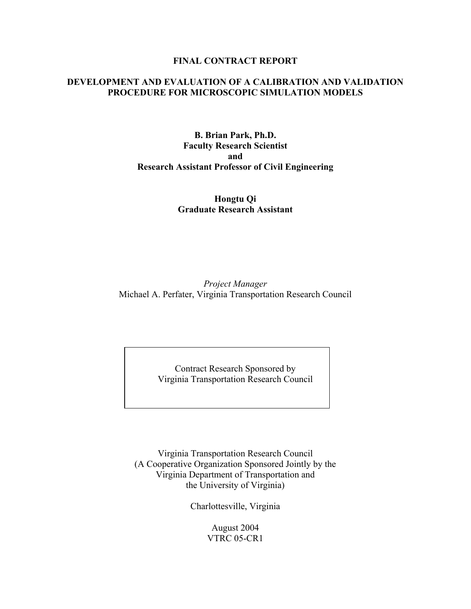### **FINAL CONTRACT REPORT**

# **DEVELOPMENT AND EVALUATION OF A CALIBRATION AND VALIDATION PROCEDURE FOR MICROSCOPIC SIMULATION MODELS**

**B. Brian Park, Ph.D. Faculty Research Scientist and Research Assistant Professor of Civil Engineering** 

> **Hongtu Qi Graduate Research Assistant**

*Project Manager* Michael A. Perfater, Virginia Transportation Research Council

> Contract Research Sponsored by Virginia Transportation Research Council

Virginia Transportation Research Council (A Cooperative Organization Sponsored Jointly by the Virginia Department of Transportation and the University of Virginia)

Charlottesville, Virginia

August 2004 VTRC 05-CR1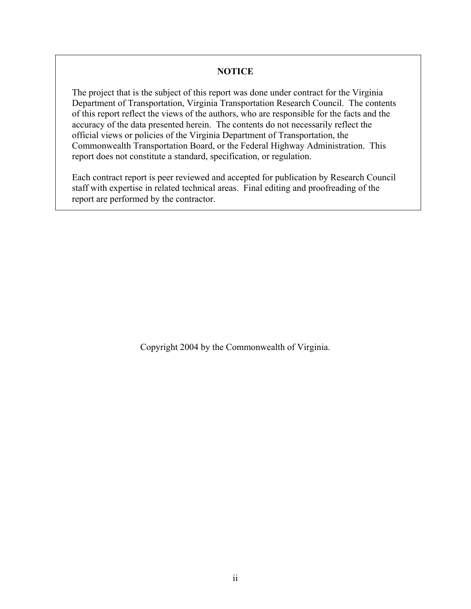# **NOTICE**

The project that is the subject of this report was done under contract for the Virginia Department of Transportation, Virginia Transportation Research Council. The contents of this report reflect the views of the authors, who are responsible for the facts and the accuracy of the data presented herein. The contents do not necessarily reflect the official views or policies of the Virginia Department of Transportation, the Commonwealth Transportation Board, or the Federal Highway Administration. This report does not constitute a standard, specification, or regulation.

Each contract report is peer reviewed and accepted for publication by Research Council staff with expertise in related technical areas. Final editing and proofreading of the report are performed by the contractor.

Copyright 2004 by the Commonwealth of Virginia.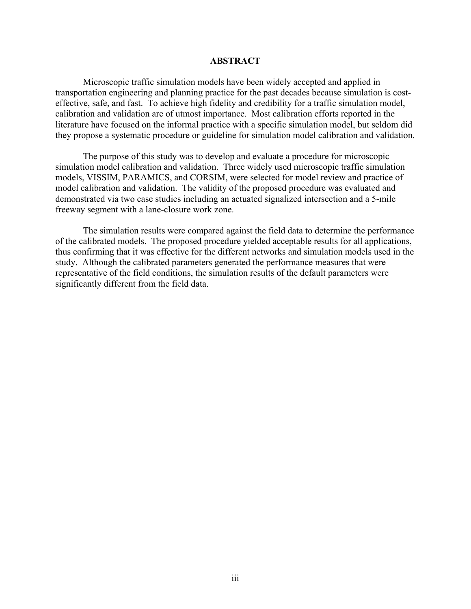### **ABSTRACT**

Microscopic traffic simulation models have been widely accepted and applied in transportation engineering and planning practice for the past decades because simulation is costeffective, safe, and fast. To achieve high fidelity and credibility for a traffic simulation model, calibration and validation are of utmost importance. Most calibration efforts reported in the literature have focused on the informal practice with a specific simulation model, but seldom did they propose a systematic procedure or guideline for simulation model calibration and validation.

The purpose of this study was to develop and evaluate a procedure for microscopic simulation model calibration and validation. Three widely used microscopic traffic simulation models, VISSIM, PARAMICS, and CORSIM, were selected for model review and practice of model calibration and validation. The validity of the proposed procedure was evaluated and demonstrated via two case studies including an actuated signalized intersection and a 5-mile freeway segment with a lane-closure work zone.

The simulation results were compared against the field data to determine the performance of the calibrated models. The proposed procedure yielded acceptable results for all applications, thus confirming that it was effective for the different networks and simulation models used in the study. Although the calibrated parameters generated the performance measures that were representative of the field conditions, the simulation results of the default parameters were significantly different from the field data.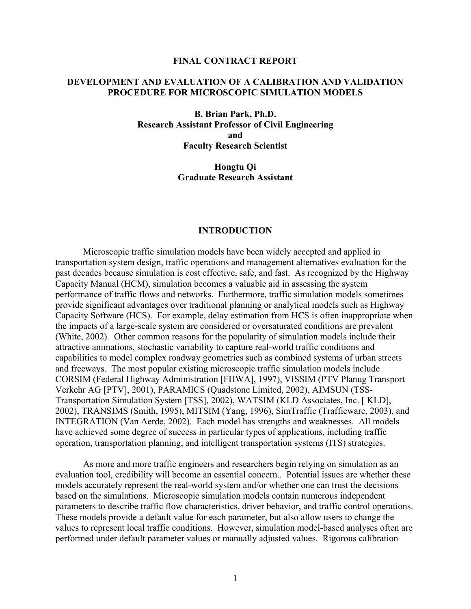#### **FINAL CONTRACT REPORT**

### **DEVELOPMENT AND EVALUATION OF A CALIBRATION AND VALIDATION PROCEDURE FOR MICROSCOPIC SIMULATION MODELS**

**B. Brian Park, Ph.D. Research Assistant Professor of Civil Engineering and Faculty Research Scientist** 

> **Hongtu Qi Graduate Research Assistant**

#### **INTRODUCTION**

Microscopic traffic simulation models have been widely accepted and applied in transportation system design, traffic operations and management alternatives evaluation for the past decades because simulation is cost effective, safe, and fast. As recognized by the Highway Capacity Manual (HCM), simulation becomes a valuable aid in assessing the system performance of traffic flows and networks. Furthermore, traffic simulation models sometimes provide significant advantages over traditional planning or analytical models such as Highway Capacity Software (HCS). For example, delay estimation from HCS is often inappropriate when the impacts of a large-scale system are considered or oversaturated conditions are prevalent (White, 2002). Other common reasons for the popularity of simulation models include their attractive animations, stochastic variability to capture real-world traffic conditions and capabilities to model complex roadway geometries such as combined systems of urban streets and freeways. The most popular existing microscopic traffic simulation models include CORSIM (Federal Highway Administration [FHWA], 1997), VISSIM (PTV Planug Transport Verkehr AG [PTV], 2001), PARAMICS (Quadstone Limited, 2002), AIMSUN (TSS-Transportation Simulation System [TSS], 2002), WATSIM (KLD Associates, Inc. [ KLD], 2002), TRANSIMS (Smith, 1995), MITSIM (Yang, 1996), SimTraffic (Trafficware, 2003), and INTEGRATION (Van Aerde, 2002). Each model has strengths and weaknesses. All models have achieved some degree of success in particular types of applications, including traffic operation, transportation planning, and intelligent transportation systems (ITS) strategies.

As more and more traffic engineers and researchers begin relying on simulation as an evaluation tool, credibility will become an essential concern.. Potential issues are whether these models accurately represent the real-world system and/or whether one can trust the decisions based on the simulations. Microscopic simulation models contain numerous independent parameters to describe traffic flow characteristics, driver behavior, and traffic control operations. These models provide a default value for each parameter, but also allow users to change the values to represent local traffic conditions. However, simulation model-based analyses often are performed under default parameter values or manually adjusted values. Rigorous calibration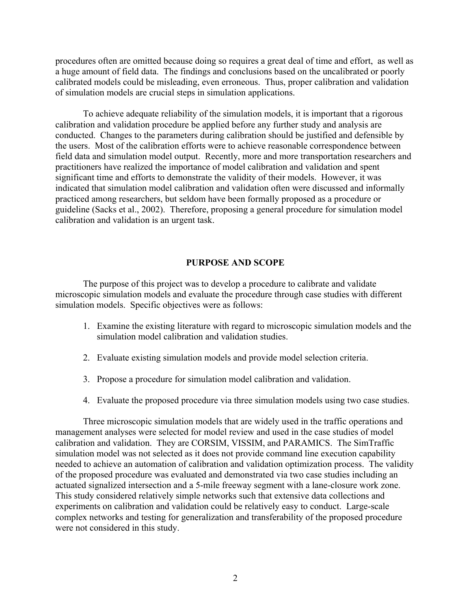procedures often are omitted because doing so requires a great deal of time and effort, as well as a huge amount of field data. The findings and conclusions based on the uncalibrated or poorly calibrated models could be misleading, even erroneous. Thus, proper calibration and validation of simulation models are crucial steps in simulation applications.

To achieve adequate reliability of the simulation models, it is important that a rigorous calibration and validation procedure be applied before any further study and analysis are conducted. Changes to the parameters during calibration should be justified and defensible by the users. Most of the calibration efforts were to achieve reasonable correspondence between field data and simulation model output. Recently, more and more transportation researchers and practitioners have realized the importance of model calibration and validation and spent significant time and efforts to demonstrate the validity of their models. However, it was indicated that simulation model calibration and validation often were discussed and informally practiced among researchers, but seldom have been formally proposed as a procedure or guideline (Sacks et al., 2002). Therefore, proposing a general procedure for simulation model calibration and validation is an urgent task.

#### **PURPOSE AND SCOPE**

 The purpose of this project was to develop a procedure to calibrate and validate microscopic simulation models and evaluate the procedure through case studies with different simulation models. Specific objectives were as follows:

- 1. Examine the existing literature with regard to microscopic simulation models and the simulation model calibration and validation studies.
- 2. Evaluate existing simulation models and provide model selection criteria.
- 3. Propose a procedure for simulation model calibration and validation.
- 4. Evaluate the proposed procedure via three simulation models using two case studies.

Three microscopic simulation models that are widely used in the traffic operations and management analyses were selected for model review and used in the case studies of model calibration and validation. They are CORSIM, VISSIM, and PARAMICS. The SimTraffic simulation model was not selected as it does not provide command line execution capability needed to achieve an automation of calibration and validation optimization process. The validity of the proposed procedure was evaluated and demonstrated via two case studies including an actuated signalized intersection and a 5-mile freeway segment with a lane-closure work zone. This study considered relatively simple networks such that extensive data collections and experiments on calibration and validation could be relatively easy to conduct. Large-scale complex networks and testing for generalization and transferability of the proposed procedure were not considered in this study.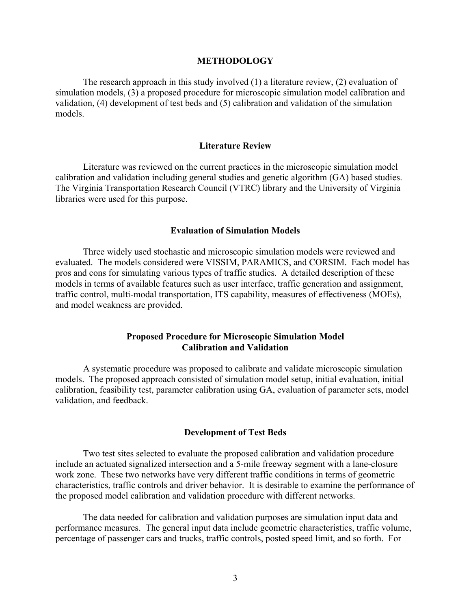#### **METHODOLOGY**

 The research approach in this study involved (1) a literature review, (2) evaluation of simulation models, (3) a proposed procedure for microscopic simulation model calibration and validation, (4) development of test beds and (5) calibration and validation of the simulation models.

#### **Literature Review**

Literature was reviewed on the current practices in the microscopic simulation model calibration and validation including general studies and genetic algorithm (GA) based studies. The Virginia Transportation Research Council (VTRC) library and the University of Virginia libraries were used for this purpose.

# **Evaluation of Simulation Models**

Three widely used stochastic and microscopic simulation models were reviewed and evaluated. The models considered were VISSIM, PARAMICS, and CORSIM. Each model has pros and cons for simulating various types of traffic studies. A detailed description of these models in terms of available features such as user interface, traffic generation and assignment, traffic control, multi-modal transportation, ITS capability, measures of effectiveness (MOEs), and model weakness are provided.

### **Proposed Procedure for Microscopic Simulation Model Calibration and Validation**

A systematic procedure was proposed to calibrate and validate microscopic simulation models. The proposed approach consisted of simulation model setup, initial evaluation, initial calibration, feasibility test, parameter calibration using GA, evaluation of parameter sets, model validation, and feedback.

#### **Development of Test Beds**

Two test sites selected to evaluate the proposed calibration and validation procedure include an actuated signalized intersection and a 5-mile freeway segment with a lane-closure work zone. These two networks have very different traffic conditions in terms of geometric characteristics, traffic controls and driver behavior. It is desirable to examine the performance of the proposed model calibration and validation procedure with different networks.

The data needed for calibration and validation purposes are simulation input data and performance measures. The general input data include geometric characteristics, traffic volume, percentage of passenger cars and trucks, traffic controls, posted speed limit, and so forth. For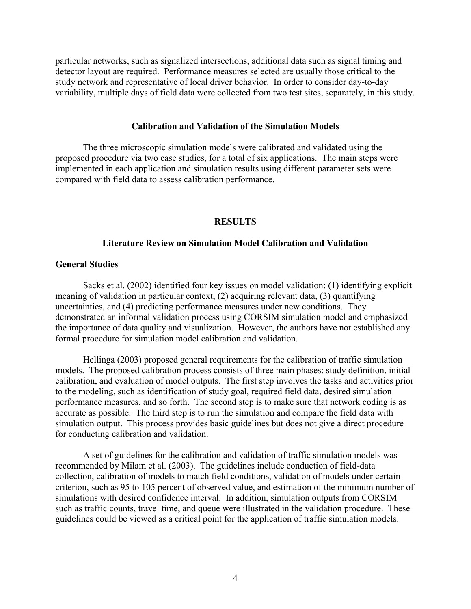particular networks, such as signalized intersections, additional data such as signal timing and detector layout are required. Performance measures selected are usually those critical to the study network and representative of local driver behavior. In order to consider day-to-day variability, multiple days of field data were collected from two test sites, separately, in this study.

#### **Calibration and Validation of the Simulation Models**

The three microscopic simulation models were calibrated and validated using the proposed procedure via two case studies, for a total of six applications. The main steps were implemented in each application and simulation results using different parameter sets were compared with field data to assess calibration performance.

### **RESULTS**

#### **Literature Review on Simulation Model Calibration and Validation**

### **General Studies**

Sacks et al. (2002) identified four key issues on model validation: (1) identifying explicit meaning of validation in particular context, (2) acquiring relevant data, (3) quantifying uncertainties, and (4) predicting performance measures under new conditions. They demonstrated an informal validation process using CORSIM simulation model and emphasized the importance of data quality and visualization. However, the authors have not established any formal procedure for simulation model calibration and validation.

Hellinga (2003) proposed general requirements for the calibration of traffic simulation models. The proposed calibration process consists of three main phases: study definition, initial calibration, and evaluation of model outputs. The first step involves the tasks and activities prior to the modeling, such as identification of study goal, required field data, desired simulation performance measures, and so forth. The second step is to make sure that network coding is as accurate as possible. The third step is to run the simulation and compare the field data with simulation output. This process provides basic guidelines but does not give a direct procedure for conducting calibration and validation.

A set of guidelines for the calibration and validation of traffic simulation models was recommended by Milam et al. (2003). The guidelines include conduction of field-data collection, calibration of models to match field conditions, validation of models under certain criterion, such as 95 to 105 percent of observed value, and estimation of the minimum number of simulations with desired confidence interval. In addition, simulation outputs from CORSIM such as traffic counts, travel time, and queue were illustrated in the validation procedure. These guidelines could be viewed as a critical point for the application of traffic simulation models.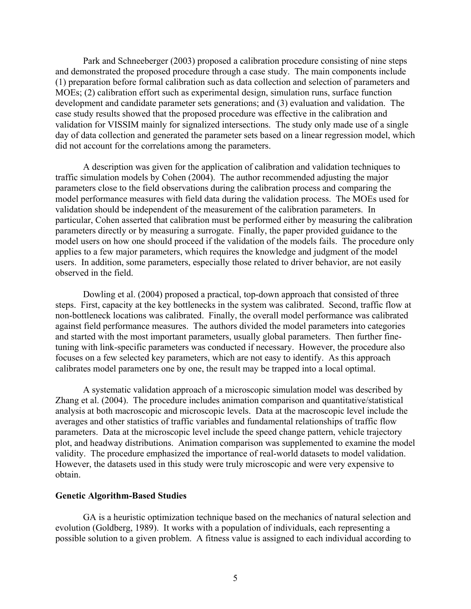Park and Schneeberger (2003) proposed a calibration procedure consisting of nine steps and demonstrated the proposed procedure through a case study. The main components include (1) preparation before formal calibration such as data collection and selection of parameters and MOEs; (2) calibration effort such as experimental design, simulation runs, surface function development and candidate parameter sets generations; and (3) evaluation and validation. The case study results showed that the proposed procedure was effective in the calibration and validation for VISSIM mainly for signalized intersections. The study only made use of a single day of data collection and generated the parameter sets based on a linear regression model, which did not account for the correlations among the parameters.

A description was given for the application of calibration and validation techniques to traffic simulation models by Cohen (2004). The author recommended adjusting the major parameters close to the field observations during the calibration process and comparing the model performance measures with field data during the validation process. The MOEs used for validation should be independent of the measurement of the calibration parameters. In particular, Cohen asserted that calibration must be performed either by measuring the calibration parameters directly or by measuring a surrogate. Finally, the paper provided guidance to the model users on how one should proceed if the validation of the models fails. The procedure only applies to a few major parameters, which requires the knowledge and judgment of the model users. In addition, some parameters, especially those related to driver behavior, are not easily observed in the field.

Dowling et al. (2004) proposed a practical, top-down approach that consisted of three steps. First, capacity at the key bottlenecks in the system was calibrated. Second, traffic flow at non-bottleneck locations was calibrated. Finally, the overall model performance was calibrated against field performance measures. The authors divided the model parameters into categories and started with the most important parameters, usually global parameters. Then further finetuning with link-specific parameters was conducted if necessary. However, the procedure also focuses on a few selected key parameters, which are not easy to identify. As this approach calibrates model parameters one by one, the result may be trapped into a local optimal.

A systematic validation approach of a microscopic simulation model was described by Zhang et al. (2004). The procedure includes animation comparison and quantitative/statistical analysis at both macroscopic and microscopic levels. Data at the macroscopic level include the averages and other statistics of traffic variables and fundamental relationships of traffic flow parameters. Data at the microscopic level include the speed change pattern, vehicle trajectory plot, and headway distributions. Animation comparison was supplemented to examine the model validity. The procedure emphasized the importance of real-world datasets to model validation. However, the datasets used in this study were truly microscopic and were very expensive to obtain.

#### **Genetic Algorithm-Based Studies**

GA is a heuristic optimization technique based on the mechanics of natural selection and evolution (Goldberg, 1989). It works with a population of individuals, each representing a possible solution to a given problem. A fitness value is assigned to each individual according to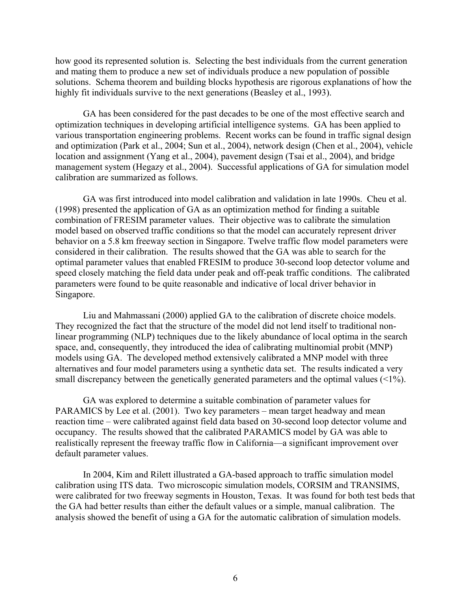how good its represented solution is. Selecting the best individuals from the current generation and mating them to produce a new set of individuals produce a new population of possible solutions. Schema theorem and building blocks hypothesis are rigorous explanations of how the highly fit individuals survive to the next generations (Beasley et al., 1993).

GA has been considered for the past decades to be one of the most effective search and optimization techniques in developing artificial intelligence systems. GA has been applied to various transportation engineering problems. Recent works can be found in traffic signal design and optimization (Park et al., 2004; Sun et al., 2004), network design (Chen et al., 2004), vehicle location and assignment (Yang et al., 2004), pavement design (Tsai et al., 2004), and bridge management system (Hegazy et al., 2004). Successful applications of GA for simulation model calibration are summarized as follows.

GA was first introduced into model calibration and validation in late 1990s. Cheu et al. (1998) presented the application of GA as an optimization method for finding a suitable combination of FRESIM parameter values. Their objective was to calibrate the simulation model based on observed traffic conditions so that the model can accurately represent driver behavior on a 5.8 km freeway section in Singapore. Twelve traffic flow model parameters were considered in their calibration. The results showed that the GA was able to search for the optimal parameter values that enabled FRESIM to produce 30-second loop detector volume and speed closely matching the field data under peak and off-peak traffic conditions. The calibrated parameters were found to be quite reasonable and indicative of local driver behavior in Singapore.

Liu and Mahmassani (2000) applied GA to the calibration of discrete choice models. They recognized the fact that the structure of the model did not lend itself to traditional nonlinear programming (NLP) techniques due to the likely abundance of local optima in the search space, and, consequently, they introduced the idea of calibrating multinomial probit (MNP) models using GA. The developed method extensively calibrated a MNP model with three alternatives and four model parameters using a synthetic data set. The results indicated a very small discrepancy between the genetically generated parameters and the optimal values (<1%).

GA was explored to determine a suitable combination of parameter values for PARAMICS by Lee et al. (2001). Two key parameters – mean target headway and mean reaction time – were calibrated against field data based on 30-second loop detector volume and occupancy. The results showed that the calibrated PARAMICS model by GA was able to realistically represent the freeway traffic flow in California—a significant improvement over default parameter values.

In 2004, Kim and Rilett illustrated a GA-based approach to traffic simulation model calibration using ITS data. Two microscopic simulation models, CORSIM and TRANSIMS, were calibrated for two freeway segments in Houston, Texas. It was found for both test beds that the GA had better results than either the default values or a simple, manual calibration. The analysis showed the benefit of using a GA for the automatic calibration of simulation models.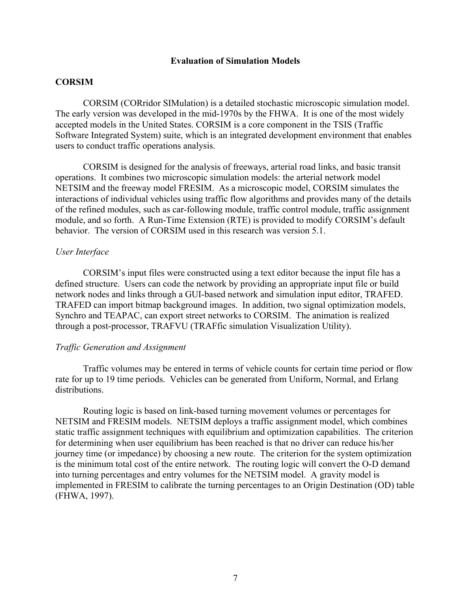### **Evaluation of Simulation Models**

# **CORSIM**

CORSIM (CORridor SIMulation) is a detailed stochastic microscopic simulation model. The early version was developed in the mid-1970s by the FHWA. It is one of the most widely accepted models in the United States. CORSIM is a core component in the TSIS (Traffic Software Integrated System) suite, which is an integrated development environment that enables users to conduct traffic operations analysis.

CORSIM is designed for the analysis of freeways, arterial road links, and basic transit operations. It combines two microscopic simulation models: the arterial network model NETSIM and the freeway model FRESIM. As a microscopic model, CORSIM simulates the interactions of individual vehicles using traffic flow algorithms and provides many of the details of the refined modules, such as car-following module, traffic control module, traffic assignment module, and so forth. A Run-Time Extension (RTE) is provided to modify CORSIM's default behavior. The version of CORSIM used in this research was version 5.1.

#### *User Interface*

CORSIM's input files were constructed using a text editor because the input file has a defined structure. Users can code the network by providing an appropriate input file or build network nodes and links through a GUI-based network and simulation input editor, TRAFED. TRAFED can import bitmap background images. In addition, two signal optimization models, Synchro and TEAPAC, can export street networks to CORSIM. The animation is realized through a post-processor, TRAFVU (TRAFfic simulation Visualization Utility).

#### *Traffic Generation and Assignment*

Traffic volumes may be entered in terms of vehicle counts for certain time period or flow rate for up to 19 time periods. Vehicles can be generated from Uniform, Normal, and Erlang distributions.

Routing logic is based on link-based turning movement volumes or percentages for NETSIM and FRESIM models. NETSIM deploys a traffic assignment model, which combines static traffic assignment techniques with equilibrium and optimization capabilities. The criterion for determining when user equilibrium has been reached is that no driver can reduce his/her journey time (or impedance) by choosing a new route. The criterion for the system optimization is the minimum total cost of the entire network. The routing logic will convert the O-D demand into turning percentages and entry volumes for the NETSIM model. A gravity model is implemented in FRESIM to calibrate the turning percentages to an Origin Destination (OD) table (FHWA, 1997).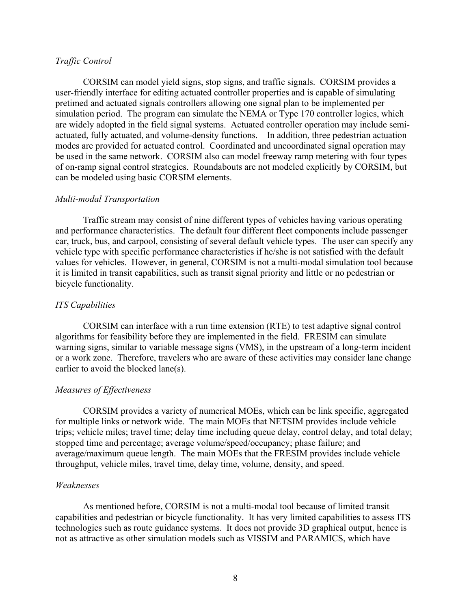### *Traffic Control*

CORSIM can model yield signs, stop signs, and traffic signals. CORSIM provides a user-friendly interface for editing actuated controller properties and is capable of simulating pretimed and actuated signals controllers allowing one signal plan to be implemented per simulation period. The program can simulate the NEMA or Type 170 controller logics, which are widely adopted in the field signal systems. Actuated controller operation may include semiactuated, fully actuated, and volume-density functions. In addition, three pedestrian actuation modes are provided for actuated control. Coordinated and uncoordinated signal operation may be used in the same network. CORSIM also can model freeway ramp metering with four types of on-ramp signal control strategies. Roundabouts are not modeled explicitly by CORSIM, but can be modeled using basic CORSIM elements.

### *Multi-modal Transportation*

Traffic stream may consist of nine different types of vehicles having various operating and performance characteristics. The default four different fleet components include passenger car, truck, bus, and carpool, consisting of several default vehicle types. The user can specify any vehicle type with specific performance characteristics if he/she is not satisfied with the default values for vehicles. However, in general, CORSIM is not a multi-modal simulation tool because it is limited in transit capabilities, such as transit signal priority and little or no pedestrian or bicycle functionality.

### *ITS Capabilities*

CORSIM can interface with a run time extension (RTE) to test adaptive signal control algorithms for feasibility before they are implemented in the field. FRESIM can simulate warning signs, similar to variable message signs (VMS), in the upstream of a long-term incident or a work zone. Therefore, travelers who are aware of these activities may consider lane change earlier to avoid the blocked lane(s).

### *Measures of Effectiveness*

CORSIM provides a variety of numerical MOEs, which can be link specific, aggregated for multiple links or network wide. The main MOEs that NETSIM provides include vehicle trips; vehicle miles; travel time; delay time including queue delay, control delay, and total delay; stopped time and percentage; average volume/speed/occupancy; phase failure; and average/maximum queue length. The main MOEs that the FRESIM provides include vehicle throughput, vehicle miles, travel time, delay time, volume, density, and speed.

### *Weaknesses*

As mentioned before, CORSIM is not a multi-modal tool because of limited transit capabilities and pedestrian or bicycle functionality. It has very limited capabilities to assess ITS technologies such as route guidance systems. It does not provide 3D graphical output, hence is not as attractive as other simulation models such as VISSIM and PARAMICS, which have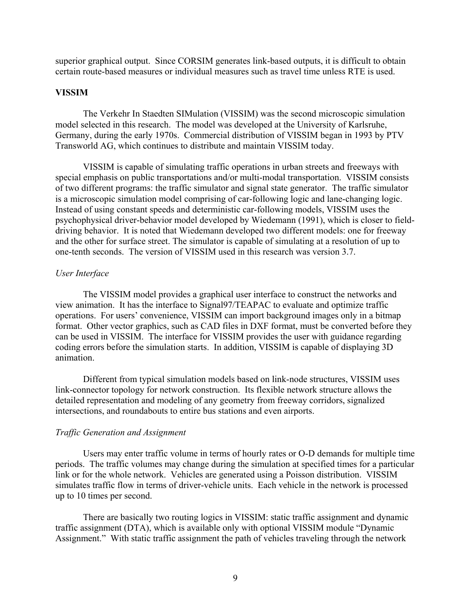superior graphical output. Since CORSIM generates link-based outputs, it is difficult to obtain certain route-based measures or individual measures such as travel time unless RTE is used.

#### **VISSIM**

The Verkehr In Staedten SIMulation (VISSIM) was the second microscopic simulation model selected in this research. The model was developed at the University of Karlsruhe, Germany, during the early 1970s. Commercial distribution of VISSIM began in 1993 by PTV Transworld AG, which continues to distribute and maintain VISSIM today.

VISSIM is capable of simulating traffic operations in urban streets and freeways with special emphasis on public transportations and/or multi-modal transportation. VISSIM consists of two different programs: the traffic simulator and signal state generator. The traffic simulator is a microscopic simulation model comprising of car-following logic and lane-changing logic. Instead of using constant speeds and deterministic car-following models, VISSIM uses the psychophysical driver-behavior model developed by Wiedemann (1991), which is closer to fielddriving behavior. It is noted that Wiedemann developed two different models: one for freeway and the other for surface street. The simulator is capable of simulating at a resolution of up to one-tenth seconds. The version of VISSIM used in this research was version 3.7.

#### *User Interface*

The VISSIM model provides a graphical user interface to construct the networks and view animation. It has the interface to Signal97/TEAPAC to evaluate and optimize traffic operations. For users' convenience, VISSIM can import background images only in a bitmap format. Other vector graphics, such as CAD files in DXF format, must be converted before they can be used in VISSIM. The interface for VISSIM provides the user with guidance regarding coding errors before the simulation starts. In addition, VISSIM is capable of displaying 3D animation.

Different from typical simulation models based on link-node structures, VISSIM uses link-connector topology for network construction. Its flexible network structure allows the detailed representation and modeling of any geometry from freeway corridors, signalized intersections, and roundabouts to entire bus stations and even airports.

#### *Traffic Generation and Assignment*

 Users may enter traffic volume in terms of hourly rates or O-D demands for multiple time periods. The traffic volumes may change during the simulation at specified times for a particular link or for the whole network. Vehicles are generated using a Poisson distribution. VISSIM simulates traffic flow in terms of driver-vehicle units. Each vehicle in the network is processed up to 10 times per second.

There are basically two routing logics in VISSIM: static traffic assignment and dynamic traffic assignment (DTA), which is available only with optional VISSIM module "Dynamic Assignment." With static traffic assignment the path of vehicles traveling through the network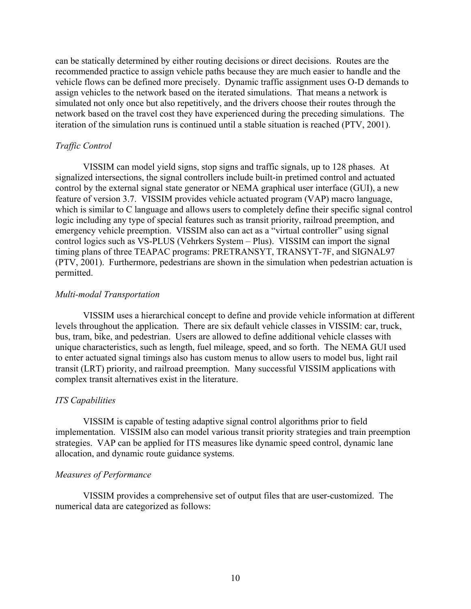can be statically determined by either routing decisions or direct decisions. Routes are the recommended practice to assign vehicle paths because they are much easier to handle and the vehicle flows can be defined more precisely. Dynamic traffic assignment uses O-D demands to assign vehicles to the network based on the iterated simulations. That means a network is simulated not only once but also repetitively, and the drivers choose their routes through the network based on the travel cost they have experienced during the preceding simulations. The iteration of the simulation runs is continued until a stable situation is reached (PTV, 2001).

### *Traffic Control*

VISSIM can model yield signs, stop signs and traffic signals, up to 128 phases. At signalized intersections, the signal controllers include built-in pretimed control and actuated control by the external signal state generator or NEMA graphical user interface (GUI), a new feature of version 3.7. VISSIM provides vehicle actuated program (VAP) macro language, which is similar to C language and allows users to completely define their specific signal control logic including any type of special features such as transit priority, railroad preemption, and emergency vehicle preemption. VISSIM also can act as a "virtual controller" using signal control logics such as  $VS-PLUS$  (Vehrkers System  $-$  Plus). VISSIM can import the signal timing plans of three TEAPAC programs: PRETRANSYT, TRANSYT-7F, and SIGNAL97 (PTV, 2001). Furthermore, pedestrians are shown in the simulation when pedestrian actuation is permitted.

### *Multi-modal Transportation*

VISSIM uses a hierarchical concept to define and provide vehicle information at different levels throughout the application. There are six default vehicle classes in VISSIM: car, truck, bus, tram, bike, and pedestrian. Users are allowed to define additional vehicle classes with unique characteristics, such as length, fuel mileage, speed, and so forth. The NEMA GUI used to enter actuated signal timings also has custom menus to allow users to model bus, light rail transit (LRT) priority, and railroad preemption. Many successful VISSIM applications with complex transit alternatives exist in the literature.

### *ITS Capabilities*

VISSIM is capable of testing adaptive signal control algorithms prior to field implementation. VISSIM also can model various transit priority strategies and train preemption strategies. VAP can be applied for ITS measures like dynamic speed control, dynamic lane allocation, and dynamic route guidance systems.

### *Measures of Performance*

VISSIM provides a comprehensive set of output files that are user-customized. The numerical data are categorized as follows: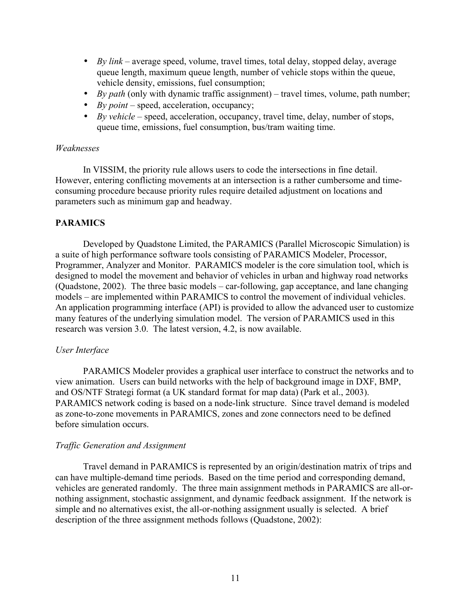- *By link* average speed, volume, travel times, total delay, stopped delay, average queue length, maximum queue length, number of vehicle stops within the queue, vehicle density, emissions, fuel consumption;
- *By path* (only with dynamic traffic assignment) travel times, volume, path number;
- *By point* speed, acceleration, occupancy;
- *By vehicle*  $\sim$  speed, acceleration, occupancy, travel time, delay, number of stops, queue time, emissions, fuel consumption, bus/tram waiting time.

## *Weaknesses*

In VISSIM, the priority rule allows users to code the intersections in fine detail. However, entering conflicting movements at an intersection is a rather cumbersome and timeconsuming procedure because priority rules require detailed adjustment on locations and parameters such as minimum gap and headway.

# **PARAMICS**

Developed by Quadstone Limited, the PARAMICS (Parallel Microscopic Simulation) is a suite of high performance software tools consisting of PARAMICS Modeler, Processor, Programmer, Analyzer and Monitor. PARAMICS modeler is the core simulation tool, which is designed to model the movement and behavior of vehicles in urban and highway road networks (Quadstone, 2002). The three basic models  $-$  car-following, gap acceptance, and lane changing models – are implemented within PARAMICS to control the movement of individual vehicles. An application programming interface (API) is provided to allow the advanced user to customize many features of the underlying simulation model. The version of PARAMICS used in this research was version 3.0. The latest version, 4.2, is now available.

# *User Interface*

PARAMICS Modeler provides a graphical user interface to construct the networks and to view animation. Users can build networks with the help of background image in DXF, BMP, and OS/NTF Strategi format (a UK standard format for map data) (Park et al., 2003). PARAMICS network coding is based on a node-link structure. Since travel demand is modeled as zone-to-zone movements in PARAMICS, zones and zone connectors need to be defined before simulation occurs.

# *Traffic Generation and Assignment*

Travel demand in PARAMICS is represented by an origin/destination matrix of trips and can have multiple-demand time periods. Based on the time period and corresponding demand, vehicles are generated randomly. The three main assignment methods in PARAMICS are all-ornothing assignment, stochastic assignment, and dynamic feedback assignment. If the network is simple and no alternatives exist, the all-or-nothing assignment usually is selected. A brief description of the three assignment methods follows (Quadstone, 2002):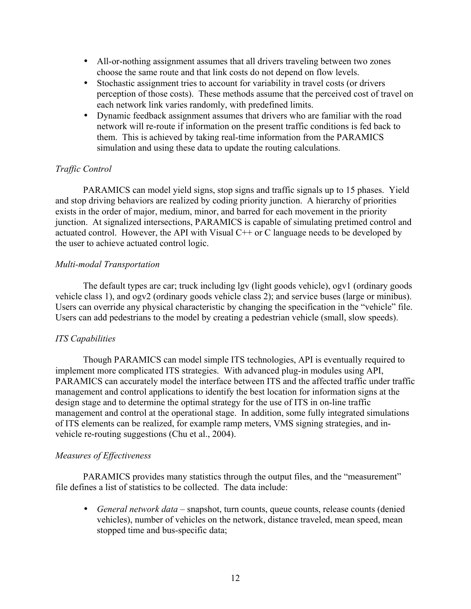- All-or-nothing assignment assumes that all drivers traveling between two zones choose the same route and that link costs do not depend on flow levels.
- Stochastic assignment tries to account for variability in travel costs (or drivers perception of those costs). These methods assume that the perceived cost of travel on each network link varies randomly, with predefined limits.
- Dynamic feedback assignment assumes that drivers who are familiar with the road network will re-route if information on the present traffic conditions is fed back to them. This is achieved by taking real-time information from the PARAMICS simulation and using these data to update the routing calculations.

# *Traffic Control*

PARAMICS can model yield signs, stop signs and traffic signals up to 15 phases. Yield and stop driving behaviors are realized by coding priority junction. A hierarchy of priorities exists in the order of major, medium, minor, and barred for each movement in the priority junction. At signalized intersections, PARAMICS is capable of simulating pretimed control and actuated control. However, the API with Visual  $C++$  or C language needs to be developed by the user to achieve actuated control logic.

# *Multi-modal Transportation*

The default types are car; truck including lgv (light goods vehicle), ogv1 (ordinary goods vehicle class 1), and ogv2 (ordinary goods vehicle class 2); and service buses (large or minibus). Users can override any physical characteristic by changing the specification in the "vehicle" file. Users can add pedestrians to the model by creating a pedestrian vehicle (small, slow speeds).

# *ITS Capabilities*

Though PARAMICS can model simple ITS technologies, API is eventually required to implement more complicated ITS strategies. With advanced plug-in modules using API, PARAMICS can accurately model the interface between ITS and the affected traffic under traffic management and control applications to identify the best location for information signs at the design stage and to determine the optimal strategy for the use of ITS in on-line traffic management and control at the operational stage. In addition, some fully integrated simulations of ITS elements can be realized, for example ramp meters, VMS signing strategies, and invehicle re-routing suggestions (Chu et al., 2004).

# *Measures of Effectiveness*

PARAMICS provides many statistics through the output files, and the "measurement" file defines a list of statistics to be collected. The data include:

• *General network data* – snapshot, turn counts, queue counts, release counts (denied vehicles), number of vehicles on the network, distance traveled, mean speed, mean stopped time and bus-specific data;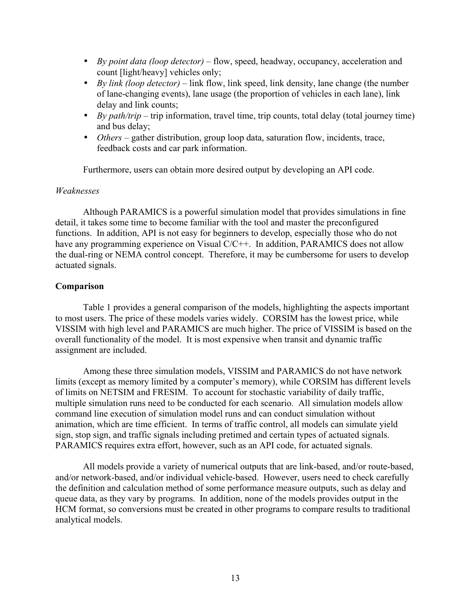- *By point data (loop detector)* flow, speed, headway, occupancy, acceleration and count [light/heavy] vehicles only;
- *By link (loop detector)*  $-$  link flow, link speed, link density, lane change (the number of lane-changing events), lane usage (the proportion of vehicles in each lane), link delay and link counts;
- *By path/trip* trip information, travel time, trip counts, total delay (total journey time) and bus delay;
- *Others* gather distribution, group loop data, saturation flow, incidents, trace, feedback costs and car park information.

Furthermore, users can obtain more desired output by developing an API code.

## *Weaknesses*

Although PARAMICS is a powerful simulation model that provides simulations in fine detail, it takes some time to become familiar with the tool and master the preconfigured functions. In addition, API is not easy for beginners to develop, especially those who do not have any programming experience on Visual C/C++. In addition, PARAMICS does not allow the dual-ring or NEMA control concept. Therefore, it may be cumbersome for users to develop actuated signals.

## **Comparison**

Table 1 provides a general comparison of the models, highlighting the aspects important to most users. The price of these models varies widely. CORSIM has the lowest price, while VISSIM with high level and PARAMICS are much higher. The price of VISSIM is based on the overall functionality of the model. It is most expensive when transit and dynamic traffic assignment are included.

Among these three simulation models, VISSIM and PARAMICS do not have network limits (except as memory limited by a computer's memory), while CORSIM has different levels of limits on NETSIM and FRESIM. To account for stochastic variability of daily traffic, multiple simulation runs need to be conducted for each scenario. All simulation models allow command line execution of simulation model runs and can conduct simulation without animation, which are time efficient. In terms of traffic control, all models can simulate yield sign, stop sign, and traffic signals including pretimed and certain types of actuated signals. PARAMICS requires extra effort, however, such as an API code, for actuated signals.

All models provide a variety of numerical outputs that are link-based, and/or route-based, and/or network-based, and/or individual vehicle-based. However, users need to check carefully the definition and calculation method of some performance measure outputs, such as delay and queue data, as they vary by programs. In addition, none of the models provides output in the HCM format, so conversions must be created in other programs to compare results to traditional analytical models.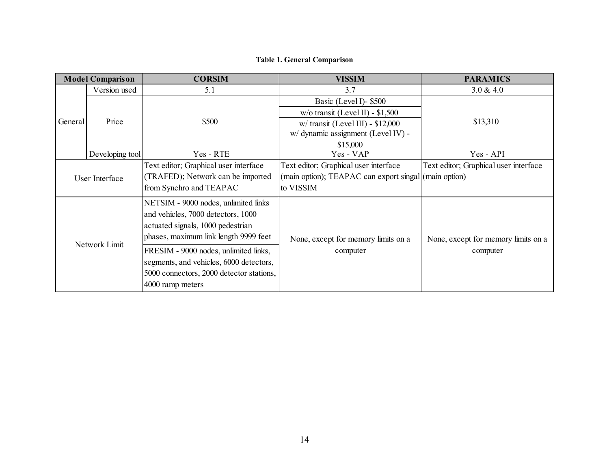# **Table 1. General Comparison**

| <b>Model Comparison</b> |                 | <b>CORSIM</b>                                                                                                                                            | <b>VISSIM</b>                                         | <b>PARAMICS</b>                       |
|-------------------------|-----------------|----------------------------------------------------------------------------------------------------------------------------------------------------------|-------------------------------------------------------|---------------------------------------|
|                         | Version used    | 5.1                                                                                                                                                      | 3.7                                                   | 3.0 & 4.0                             |
|                         |                 |                                                                                                                                                          | Basic (Level I)- \$500                                |                                       |
|                         |                 |                                                                                                                                                          | $w$ /o transit (Level II) - \$1,500                   |                                       |
| General                 | Price           | \$500                                                                                                                                                    | $w/$ transit (Level III) - \$12,000                   | \$13,310                              |
|                         |                 |                                                                                                                                                          | w/ dynamic assignment (Level IV) -                    |                                       |
|                         |                 |                                                                                                                                                          | \$15,000                                              |                                       |
|                         | Developing tool | Yes - RTE                                                                                                                                                | Yes - VAP                                             | Yes - API                             |
|                         |                 | Text editor; Graphical user interface                                                                                                                    | Text editor; Graphical user interface                 | Text editor; Graphical user interface |
|                         | User Interface  | (TRAFED); Network can be imported                                                                                                                        | (main option); TEAPAC can export singal (main option) |                                       |
|                         |                 | from Synchro and TEAPAC                                                                                                                                  | to VISSIM                                             |                                       |
| Network Limit           |                 | NETSIM - 9000 nodes, unlimited links<br>and vehicles, 7000 detectors, 1000<br>actuated signals, 1000 pedestrian<br>phases, maximum link length 9999 feet | None, except for memory limits on a                   | None, except for memory limits on a   |
|                         |                 | FRESIM - 9000 nodes, unlimited links,<br>segments, and vehicles, 6000 detectors,<br>5000 connectors, 2000 detector stations,<br>4000 ramp meters         | computer                                              | computer                              |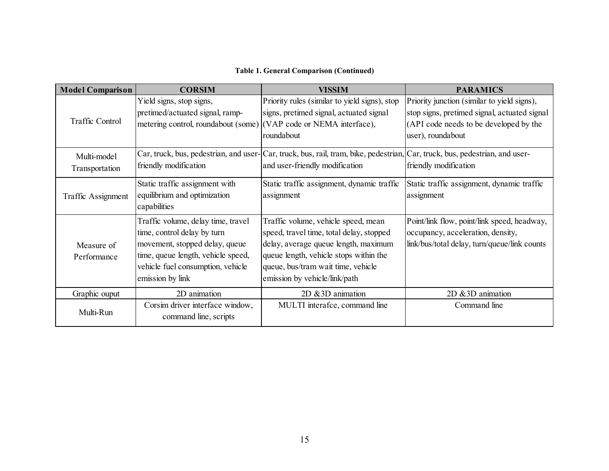# **Table 1. General Comparison (Continued)**

| <b>Model Comparison</b>       | <b>CORSIM</b>                                                                                                                                                                                      | <b>VISSIM</b>                                                                                                                                                                                                                            | <b>PARAMICS</b>                                                                                                                                            |
|-------------------------------|----------------------------------------------------------------------------------------------------------------------------------------------------------------------------------------------------|------------------------------------------------------------------------------------------------------------------------------------------------------------------------------------------------------------------------------------------|------------------------------------------------------------------------------------------------------------------------------------------------------------|
| Traffic Control               | Yield signs, stop signs,<br>pretimed/actuated signal, ramp-<br>metering control, roundabout (some) (VAP code or NEMA interface),                                                                   | Priority rules (similar to yield signs), stop<br>signs, pretimed signal, actuated signal<br>roundabout                                                                                                                                   | Priority junction (similar to yield signs),<br>stop signs, pretimed signal, actuated signal<br>(API code needs to be developed by the<br>user), roundabout |
| Multi-model<br>Transportation | friendly modification                                                                                                                                                                              | Car, truck, bus, pedestrian, and user-Car, truck, bus, rail, tram, bike, pedestrian, Car, truck, bus, pedestrian, and user-<br>and user-friendly modification                                                                            | friendly modification                                                                                                                                      |
| Traffic Assignment            | Static traffic assignment with<br>equilibrium and optimization<br>capabilities                                                                                                                     | Static traffic assignment, dynamic traffic<br>assignment                                                                                                                                                                                 | Static traffic assignment, dynamic traffic<br>assignment                                                                                                   |
| Measure of<br>Performance     | Traffic volume, delay time, travel<br>time, control delay by turn<br>movement, stopped delay, queue<br>time, queue length, vehicle speed,<br>vehicle fuel consumption, vehicle<br>emission by link | Traffic volume, vehicle speed, mean<br>speed, travel time, total delay, stopped<br>delay, average queue length, maximum<br>queue length, vehicle stops within the<br>queue, bus/tram wait time, vehicle<br>emission by vehicle/link/path | Point/link flow, point/link speed, headway,<br>occupancy, acceleration, density,<br>link/bus/total delay, turn/queue/link counts                           |
| Graphic ouput                 | 2D animation                                                                                                                                                                                       | $2D \& 3D$ animation                                                                                                                                                                                                                     | $2D \& 3D$ animation                                                                                                                                       |
| Multi-Run                     | Corsim driver interface window,<br>command line, scripts                                                                                                                                           | MULTI interafce, command line                                                                                                                                                                                                            | Command line                                                                                                                                               |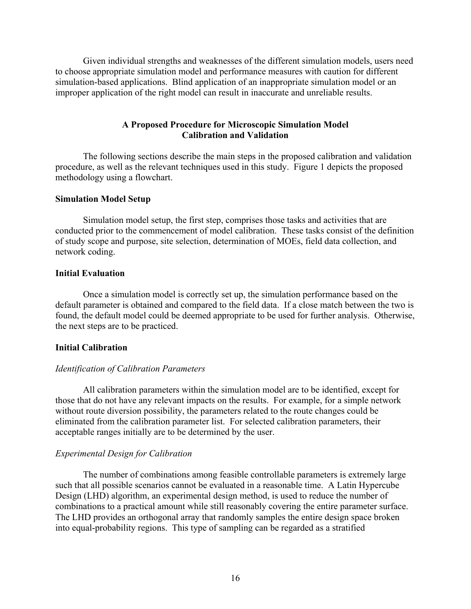Given individual strengths and weaknesses of the different simulation models, users need to choose appropriate simulation model and performance measures with caution for different simulation-based applications. Blind application of an inappropriate simulation model or an improper application of the right model can result in inaccurate and unreliable results.

## **A Proposed Procedure for Microscopic Simulation Model Calibration and Validation**

The following sections describe the main steps in the proposed calibration and validation procedure, as well as the relevant techniques used in this study. Figure 1 depicts the proposed methodology using a flowchart.

#### **Simulation Model Setup**

Simulation model setup, the first step, comprises those tasks and activities that are conducted prior to the commencement of model calibration. These tasks consist of the definition of study scope and purpose, site selection, determination of MOEs, field data collection, and network coding.

#### **Initial Evaluation**

Once a simulation model is correctly set up, the simulation performance based on the default parameter is obtained and compared to the field data. If a close match between the two is found, the default model could be deemed appropriate to be used for further analysis. Otherwise, the next steps are to be practiced.

### **Initial Calibration**

### *Identification of Calibration Parameters*

All calibration parameters within the simulation model are to be identified, except for those that do not have any relevant impacts on the results. For example, for a simple network without route diversion possibility, the parameters related to the route changes could be eliminated from the calibration parameter list. For selected calibration parameters, their acceptable ranges initially are to be determined by the user.

### *Experimental Design for Calibration*

The number of combinations among feasible controllable parameters is extremely large such that all possible scenarios cannot be evaluated in a reasonable time. A Latin Hypercube Design (LHD) algorithm, an experimental design method, is used to reduce the number of combinations to a practical amount while still reasonably covering the entire parameter surface. The LHD provides an orthogonal array that randomly samples the entire design space broken into equal-probability regions. This type of sampling can be regarded as a stratified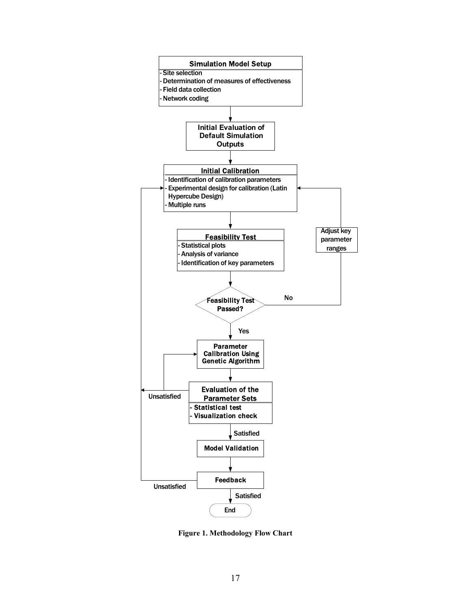

**Figure 1. Methodology Flow Chart**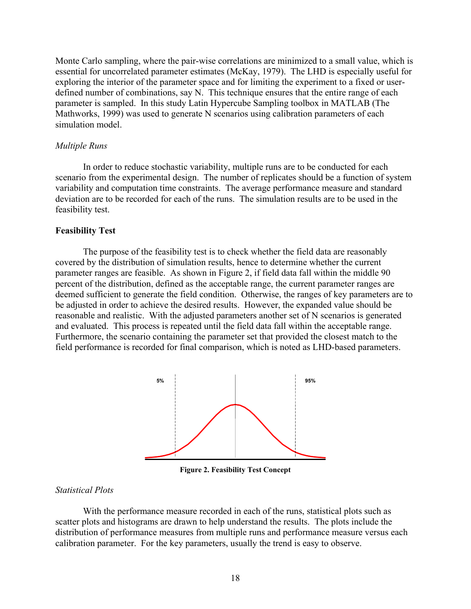Monte Carlo sampling, where the pair-wise correlations are minimized to a small value, which is essential for uncorrelated parameter estimates (McKay, 1979). The LHD is especially useful for exploring the interior of the parameter space and for limiting the experiment to a fixed or userdefined number of combinations, say N. This technique ensures that the entire range of each parameter is sampled. In this study Latin Hypercube Sampling toolbox in MATLAB (The Mathworks, 1999) was used to generate N scenarios using calibration parameters of each simulation model.

### *Multiple Runs*

In order to reduce stochastic variability, multiple runs are to be conducted for each scenario from the experimental design. The number of replicates should be a function of system variability and computation time constraints. The average performance measure and standard deviation are to be recorded for each of the runs. The simulation results are to be used in the feasibility test.

#### **Feasibility Test**

The purpose of the feasibility test is to check whether the field data are reasonably covered by the distribution of simulation results, hence to determine whether the current parameter ranges are feasible. As shown in Figure 2, if field data fall within the middle 90 percent of the distribution, defined as the acceptable range, the current parameter ranges are deemed sufficient to generate the field condition. Otherwise, the ranges of key parameters are to be adjusted in order to achieve the desired results. However, the expanded value should be reasonable and realistic. With the adjusted parameters another set of N scenarios is generated and evaluated. This process is repeated until the field data fall within the acceptable range. Furthermore, the scenario containing the parameter set that provided the closest match to the field performance is recorded for final comparison, which is noted as LHD-based parameters.



**Figure 2. Feasibility Test Concept** 

## *Statistical Plots*

With the performance measure recorded in each of the runs, statistical plots such as scatter plots and histograms are drawn to help understand the results. The plots include the distribution of performance measures from multiple runs and performance measure versus each calibration parameter. For the key parameters, usually the trend is easy to observe.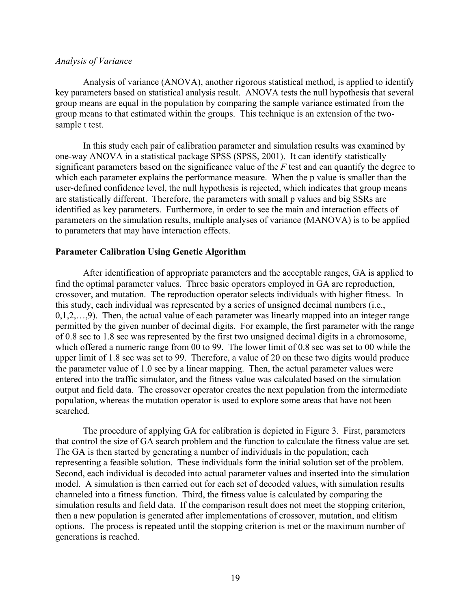#### *Analysis of Variance*

Analysis of variance (ANOVA), another rigorous statistical method, is applied to identify key parameters based on statistical analysis result. ANOVA tests the null hypothesis that several group means are equal in the population by comparing the sample variance estimated from the group means to that estimated within the groups. This technique is an extension of the twosample t test.

In this study each pair of calibration parameter and simulation results was examined by one-way ANOVA in a statistical package SPSS (SPSS, 2001). It can identify statistically significant parameters based on the significance value of the *F* test and can quantify the degree to which each parameter explains the performance measure. When the p value is smaller than the user-defined confidence level, the null hypothesis is rejected, which indicates that group means are statistically different. Therefore, the parameters with small p values and big SSRs are identified as key parameters. Furthermore, in order to see the main and interaction effects of parameters on the simulation results, multiple analyses of variance (MANOVA) is to be applied to parameters that may have interaction effects.

## **Parameter Calibration Using Genetic Algorithm**

After identification of appropriate parameters and the acceptable ranges, GA is applied to find the optimal parameter values. Three basic operators employed in GA are reproduction, crossover, and mutation. The reproduction operator selects individuals with higher fitness. In this study, each individual was represented by a series of unsigned decimal numbers (i.e.,  $0,1,2,...,9$ ). Then, the actual value of each parameter was linearly mapped into an integer range permitted by the given number of decimal digits. For example, the first parameter with the range of 0.8 sec to 1.8 sec was represented by the first two unsigned decimal digits in a chromosome, which offered a numeric range from 00 to 99. The lower limit of 0.8 sec was set to 00 while the upper limit of 1.8 sec was set to 99. Therefore, a value of 20 on these two digits would produce the parameter value of 1.0 sec by a linear mapping. Then, the actual parameter values were entered into the traffic simulator, and the fitness value was calculated based on the simulation output and field data. The crossover operator creates the next population from the intermediate population, whereas the mutation operator is used to explore some areas that have not been searched.

The procedure of applying GA for calibration is depicted in Figure 3. First, parameters that control the size of GA search problem and the function to calculate the fitness value are set. The GA is then started by generating a number of individuals in the population; each representing a feasible solution. These individuals form the initial solution set of the problem. Second, each individual is decoded into actual parameter values and inserted into the simulation model. A simulation is then carried out for each set of decoded values, with simulation results channeled into a fitness function. Third, the fitness value is calculated by comparing the simulation results and field data. If the comparison result does not meet the stopping criterion, then a new population is generated after implementations of crossover, mutation, and elitism options. The process is repeated until the stopping criterion is met or the maximum number of generations is reached.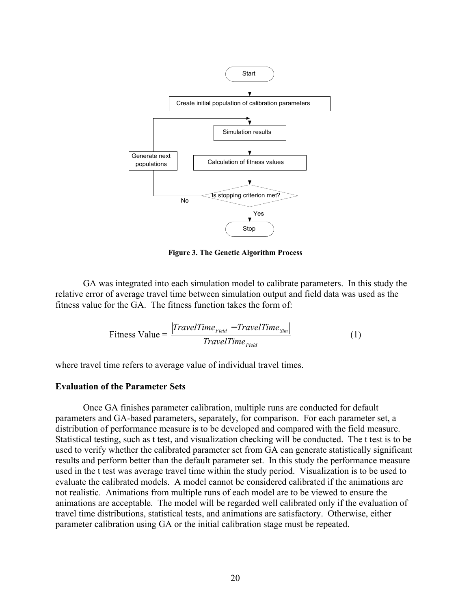

**Figure 3. The Genetic Algorithm Process** 

GA was integrated into each simulation model to calibrate parameters. In this study the relative error of average travel time between simulation output and field data was used as the fitness value for the GA. The fitness function takes the form of:

$$
\text{Fitness Value} = \frac{|TravelTime_{Field} - TravelTime_{Sim}|}{TravelTime_{Field}} \tag{1}
$$

where travel time refers to average value of individual travel times.

### **Evaluation of the Parameter Sets**

Once GA finishes parameter calibration, multiple runs are conducted for default parameters and GA-based parameters, separately, for comparison. For each parameter set, a distribution of performance measure is to be developed and compared with the field measure. Statistical testing, such as t test, and visualization checking will be conducted. The t test is to be used to verify whether the calibrated parameter set from GA can generate statistically significant results and perform better than the default parameter set. In this study the performance measure used in the t test was average travel time within the study period. Visualization is to be used to evaluate the calibrated models. A model cannot be considered calibrated if the animations are not realistic. Animations from multiple runs of each model are to be viewed to ensure the animations are acceptable. The model will be regarded well calibrated only if the evaluation of travel time distributions, statistical tests, and animations are satisfactory. Otherwise, either parameter calibration using GA or the initial calibration stage must be repeated.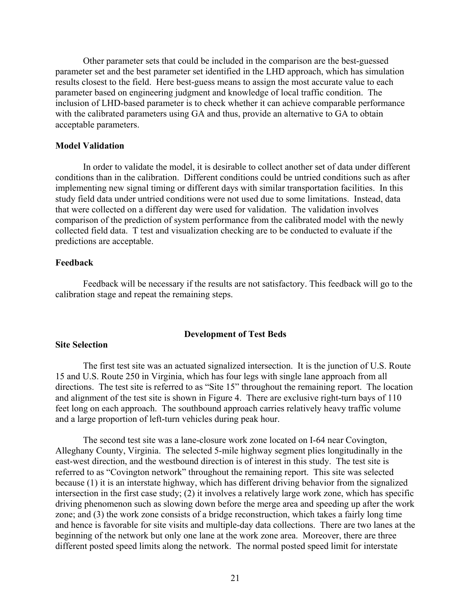Other parameter sets that could be included in the comparison are the best-guessed parameter set and the best parameter set identified in the LHD approach, which has simulation results closest to the field. Here best-guess means to assign the most accurate value to each parameter based on engineering judgment and knowledge of local traffic condition. The inclusion of LHD-based parameter is to check whether it can achieve comparable performance with the calibrated parameters using GA and thus, provide an alternative to GA to obtain acceptable parameters.

## **Model Validation**

In order to validate the model, it is desirable to collect another set of data under different conditions than in the calibration. Different conditions could be untried conditions such as after implementing new signal timing or different days with similar transportation facilities. In this study field data under untried conditions were not used due to some limitations. Instead, data that were collected on a different day were used for validation. The validation involves comparison of the prediction of system performance from the calibrated model with the newly collected field data. T test and visualization checking are to be conducted to evaluate if the predictions are acceptable.

## **Feedback**

Feedback will be necessary if the results are not satisfactory. This feedback will go to the calibration stage and repeat the remaining steps.

#### **Development of Test Beds**

# **Site Selection**

The first test site was an actuated signalized intersection. It is the junction of U.S. Route 15 and U.S. Route 250 in Virginia, which has four legs with single lane approach from all directions. The test site is referred to as "Site 15" throughout the remaining report. The location and alignment of the test site is shown in Figure 4. There are exclusive right-turn bays of 110 feet long on each approach. The southbound approach carries relatively heavy traffic volume and a large proportion of left-turn vehicles during peak hour.

The second test site was a lane-closure work zone located on I-64 near Covington, Alleghany County, Virginia. The selected 5-mile highway segment plies longitudinally in the east-west direction, and the westbound direction is of interest in this study. The test site is referred to as "Covington network" throughout the remaining report. This site was selected because (1) it is an interstate highway, which has different driving behavior from the signalized intersection in the first case study; (2) it involves a relatively large work zone, which has specific driving phenomenon such as slowing down before the merge area and speeding up after the work zone; and (3) the work zone consists of a bridge reconstruction, which takes a fairly long time and hence is favorable for site visits and multiple-day data collections. There are two lanes at the beginning of the network but only one lane at the work zone area. Moreover, there are three different posted speed limits along the network. The normal posted speed limit for interstate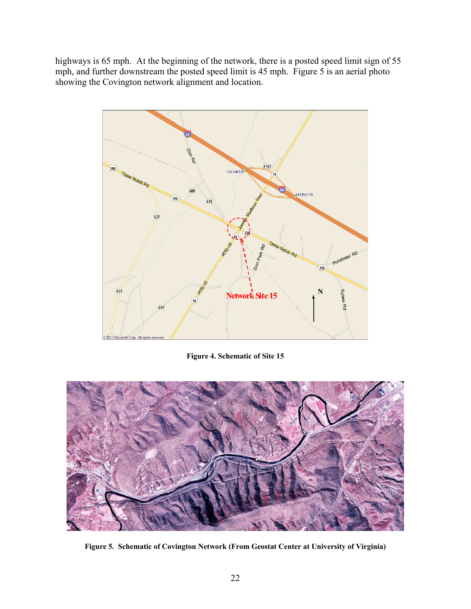highways is 65 mph. At the beginning of the network, there is a posted speed limit sign of 55 mph, and further downstream the posted speed limit is 45 mph. Figure 5 is an aerial photo showing the Covington network alignment and location.



**Figure 4. Schematic of Site 15** 



**Figure 5. Schematic of Covington Network (From Geostat Center at University of Virginia)**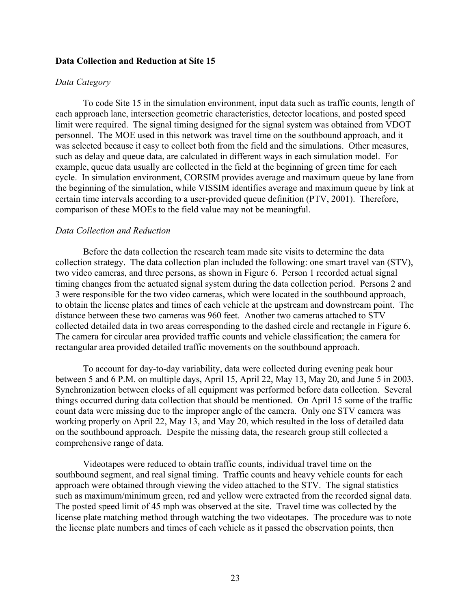### **Data Collection and Reduction at Site 15**

### *Data Category*

To code Site 15 in the simulation environment, input data such as traffic counts, length of each approach lane, intersection geometric characteristics, detector locations, and posted speed limit were required. The signal timing designed for the signal system was obtained from VDOT personnel. The MOE used in this network was travel time on the southbound approach, and it was selected because it easy to collect both from the field and the simulations. Other measures, such as delay and queue data, are calculated in different ways in each simulation model. For example, queue data usually are collected in the field at the beginning of green time for each cycle. In simulation environment, CORSIM provides average and maximum queue by lane from the beginning of the simulation, while VISSIM identifies average and maximum queue by link at certain time intervals according to a user-provided queue definition (PTV, 2001). Therefore, comparison of these MOEs to the field value may not be meaningful.

### *Data Collection and Reduction*

Before the data collection the research team made site visits to determine the data collection strategy. The data collection plan included the following: one smart travel van (STV), two video cameras, and three persons, as shown in Figure 6. Person 1 recorded actual signal timing changes from the actuated signal system during the data collection period. Persons 2 and 3 were responsible for the two video cameras, which were located in the southbound approach, to obtain the license plates and times of each vehicle at the upstream and downstream point. The distance between these two cameras was 960 feet. Another two cameras attached to STV collected detailed data in two areas corresponding to the dashed circle and rectangle in Figure 6. The camera for circular area provided traffic counts and vehicle classification; the camera for rectangular area provided detailed traffic movements on the southbound approach.

To account for day-to-day variability, data were collected during evening peak hour between 5 and 6 P.M. on multiple days, April 15, April 22, May 13, May 20, and June 5 in 2003. Synchronization between clocks of all equipment was performed before data collection. Several things occurred during data collection that should be mentioned. On April 15 some of the traffic count data were missing due to the improper angle of the camera. Only one STV camera was working properly on April 22, May 13, and May 20, which resulted in the loss of detailed data on the southbound approach. Despite the missing data, the research group still collected a comprehensive range of data.

Videotapes were reduced to obtain traffic counts, individual travel time on the southbound segment, and real signal timing. Traffic counts and heavy vehicle counts for each approach were obtained through viewing the video attached to the STV. The signal statistics such as maximum/minimum green, red and yellow were extracted from the recorded signal data. The posted speed limit of 45 mph was observed at the site. Travel time was collected by the license plate matching method through watching the two videotapes. The procedure was to note the license plate numbers and times of each vehicle as it passed the observation points, then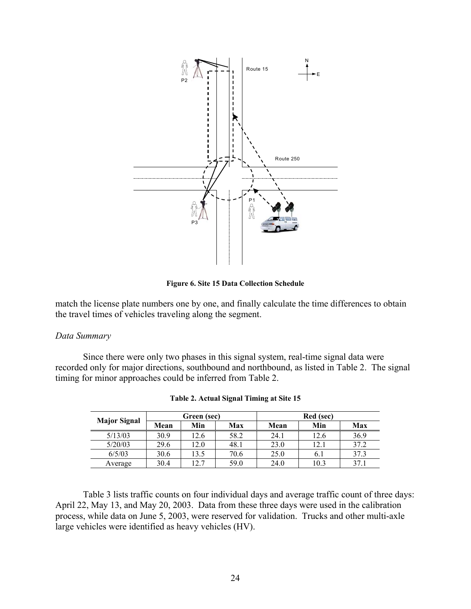

**Figure 6. Site 15 Data Collection Schedule** 

match the license plate numbers one by one, and finally calculate the time differences to obtain the travel times of vehicles traveling along the segment.

### *Data Summary*

Since there were only two phases in this signal system, real-time signal data were recorded only for major directions, southbound and northbound, as listed in Table 2. The signal timing for minor approaches could be inferred from Table 2.

|                     |      | Green (sec) |      |      | Red (sec) |      |
|---------------------|------|-------------|------|------|-----------|------|
| <b>Major Signal</b> | Mean | Min         | Max  | Mean | Min       | Max  |
| 5/13/03             | 30.9 | 12.6        | 58.2 | 24.1 | 12.6      | 36.9 |
| 5/20/03             | 29.6 | 12.0        | 48.1 | 23.0 | 12.1      | 37.2 |
| 6/5/03              | 30.6 | 13.5        | 70.6 | 25.0 | 6.1       | 37.3 |
| Average             | 30.4 | 12.7        | 59.0 | 24.0 | 10.3      | 37.1 |

| Table 2. Actual Signal Timing at Site 15 |  |  |  |
|------------------------------------------|--|--|--|
|                                          |  |  |  |

Table 3 lists traffic counts on four individual days and average traffic count of three days: April 22, May 13, and May 20, 2003. Data from these three days were used in the calibration process, while data on June 5, 2003, were reserved for validation. Trucks and other multi-axle large vehicles were identified as heavy vehicles (HV).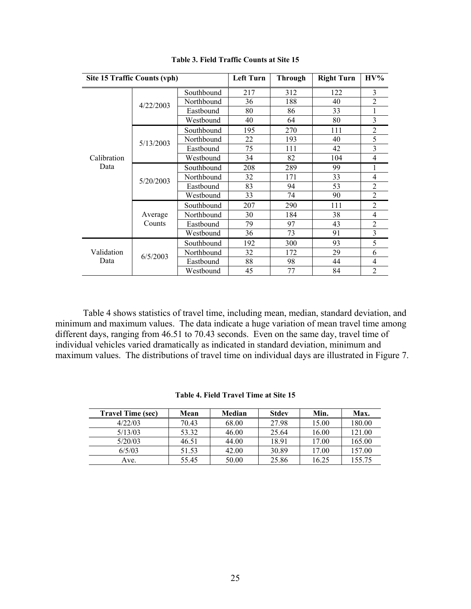|             | Site 15 Traffic Counts (vph) |            |     | <b>Through</b> | <b>Right Turn</b> | $H V\%$        |
|-------------|------------------------------|------------|-----|----------------|-------------------|----------------|
|             |                              | Southbound | 217 | 312            | 122               | 3              |
|             | 4/22/2003                    | Northbound | 36  | 188            | 40                | $\overline{2}$ |
|             |                              | Eastbound  | 80  | 86             | 33                | 1              |
|             |                              | Westbound  | 40  | 64             | 80                | 3              |
|             |                              | Southbound | 195 | 270            | 111               | $\overline{2}$ |
|             | 5/13/2003                    | Northbound | 22  | 193            | 40                | 5              |
|             |                              | Eastbound  | 75  | 111            | 42                | $\overline{3}$ |
| Calibration |                              | Westbound  | 34  | 82             | 104               | 4              |
| Data        | 5/20/2003                    | Southbound | 208 | 289            | 99                | 1              |
|             |                              | Northbound | 32  | 171            | 33                | $\overline{4}$ |
|             |                              | Eastbound  | 83  | 94             | 53                | $\overline{2}$ |
|             |                              | Westbound  | 33  | 74             | 90                | $\overline{2}$ |
|             |                              | Southbound | 207 | 290            | 111               | $\overline{2}$ |
|             | Average                      | Northbound | 30  | 184            | 38                | 4              |
|             | Counts                       | Eastbound  | 79  | 97             | 43                | $\overline{2}$ |
|             |                              | Westbound  | 36  | 73             | 91                | $\overline{3}$ |
|             |                              | Southbound | 192 | 300            | 93                | 5              |
| Validation  | 6/5/2003                     | Northbound | 32  | 172            | 29                | 6              |
| Data        |                              | Eastbound  | 88  | 98             | 44                | 4              |
|             |                              | Westbound  | 45  | 77             | 84                | $\overline{2}$ |

**Table 3. Field Traffic Counts at Site 15** 

Table 4 shows statistics of travel time, including mean, median, standard deviation, and minimum and maximum values. The data indicate a huge variation of mean travel time among different days, ranging from 46.51 to 70.43 seconds. Even on the same day, travel time of individual vehicles varied dramatically as indicated in standard deviation, minimum and maximum values. The distributions of travel time on individual days are illustrated in Figure 7.

| Table 4. Field Travel Time at Site 15 |  |  |  |
|---------------------------------------|--|--|--|
|---------------------------------------|--|--|--|

| <b>Travel Time (sec)</b> | Mean  | Median | <b>Stdev</b> | Min.  | Max.   |
|--------------------------|-------|--------|--------------|-------|--------|
| 4/22/03                  | 70.43 | 68.00  | 27.98        | 15.00 | 180.00 |
| 5/13/03                  | 53.32 | 46.00  | 25.64        | 16.00 | 121.00 |
| 5/20/03                  | 46.51 | 44.00  | 18.91        | 17.00 | 165.00 |
| 6/5/03                   | 51.53 | 42.00  | 30.89        | 17.00 | 157.00 |
| Ave.                     | 55.45 | 50.00  | 25.86        | 16.25 | 155.75 |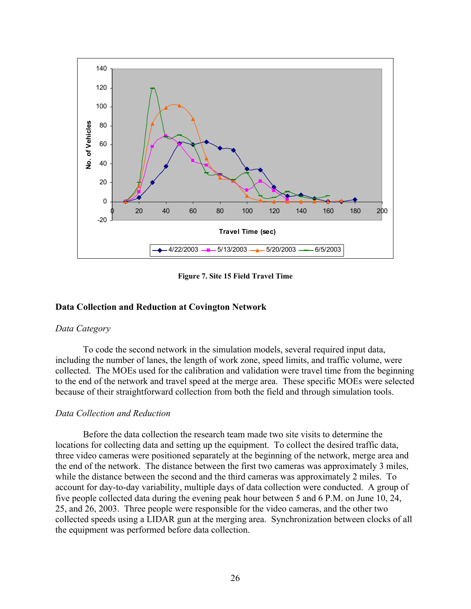

**Figure 7. Site 15 Field Travel Time** 

## **Data Collection and Reduction at Covington Network**

### *Data Category*

To code the second network in the simulation models, several required input data, including the number of lanes, the length of work zone, speed limits, and traffic volume, were collected. The MOEs used for the calibration and validation were travel time from the beginning to the end of the network and travel speed at the merge area. These specific MOEs were selected because of their straightforward collection from both the field and through simulation tools.

### *Data Collection and Reduction*

Before the data collection the research team made two site visits to determine the locations for collecting data and setting up the equipment. To collect the desired traffic data, three video cameras were positioned separately at the beginning of the network, merge area and the end of the network. The distance between the first two cameras was approximately 3 miles, while the distance between the second and the third cameras was approximately 2 miles. To account for day-to-day variability, multiple days of data collection were conducted. A group of five people collected data during the evening peak hour between 5 and 6 P.M. on June 10, 24, 25, and 26, 2003. Three people were responsible for the video cameras, and the other two collected speeds using a LIDAR gun at the merging area. Synchronization between clocks of all the equipment was performed before data collection.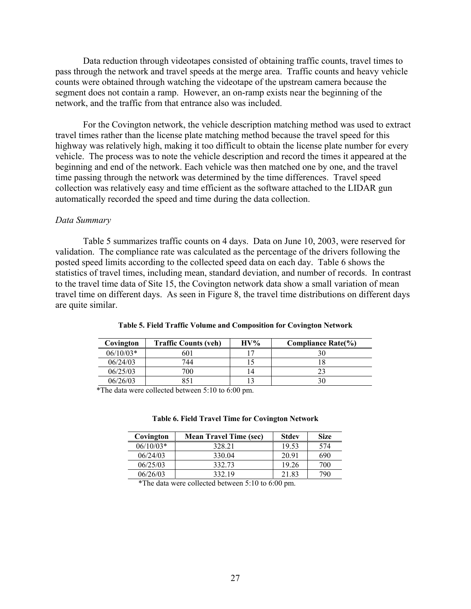Data reduction through videotapes consisted of obtaining traffic counts, travel times to pass through the network and travel speeds at the merge area. Traffic counts and heavy vehicle counts were obtained through watching the videotape of the upstream camera because the segment does not contain a ramp. However, an on-ramp exists near the beginning of the network, and the traffic from that entrance also was included.

For the Covington network, the vehicle description matching method was used to extract travel times rather than the license plate matching method because the travel speed for this highway was relatively high, making it too difficult to obtain the license plate number for every vehicle. The process was to note the vehicle description and record the times it appeared at the beginning and end of the network. Each vehicle was then matched one by one, and the travel time passing through the network was determined by the time differences. Travel speed collection was relatively easy and time efficient as the software attached to the LIDAR gun automatically recorded the speed and time during the data collection.

### *Data Summary*

Table 5 summarizes traffic counts on 4 days. Data on June 10, 2003, were reserved for validation. The compliance rate was calculated as the percentage of the drivers following the posted speed limits according to the collected speed data on each day. Table 6 shows the statistics of travel times, including mean, standard deviation, and number of records. In contrast to the travel time data of Site 15, the Covington network data show a small variation of mean travel time on different days. As seen in Figure 8, the travel time distributions on different days are quite similar.

| Covington   | <b>Traffic Counts (veh)</b> | $\mathbf{H} \mathbf{V}$ % | <b>Compliance Rate(%)</b> |
|-------------|-----------------------------|---------------------------|---------------------------|
| $06/10/03*$ | 601                         | $\sqrt{7}$                |                           |
| 06/24/03    | 744                         |                           |                           |
| 06/25/03    | 700                         | 14                        |                           |
| 06/26/03    |                             |                           |                           |

|  |  | Table 5. Field Traffic Volume and Composition for Covington Network |  |  |
|--|--|---------------------------------------------------------------------|--|--|
|  |  |                                                                     |  |  |

\*The data were collected between 5:10 to 6:00 pm.

#### **Table 6. Field Travel Time for Covington Network**

| Covington   | <b>Mean Travel Time (sec)</b> | <b>Stdev</b> | <b>Size</b> |
|-------------|-------------------------------|--------------|-------------|
| $06/10/03*$ | 328 21                        | 19.53        | 574         |
| 06/24/03    | 330.04                        | 20.91        | 690         |
| 06/25/03    | 332.73                        | 19.26        | 700         |
| 06/26/03    | 332.19                        | 21.83        | 790         |

\*The data were collected between 5:10 to 6:00 pm.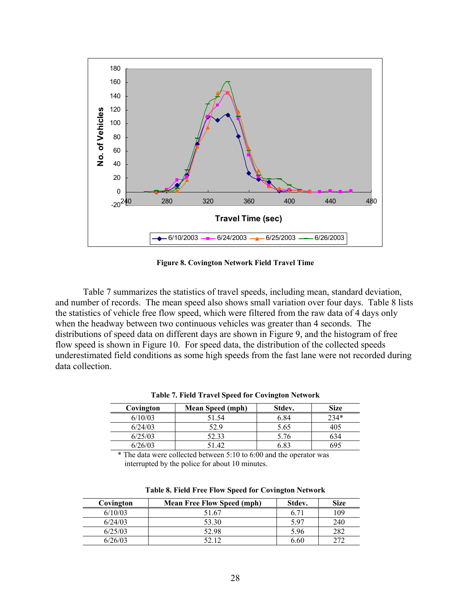

**Figure 8. Covington Network Field Travel Time** 

Table 7 summarizes the statistics of travel speeds, including mean, standard deviation, and number of records. The mean speed also shows small variation over four days. Table 8 lists the statistics of vehicle free flow speed, which were filtered from the raw data of 4 days only when the headway between two continuous vehicles was greater than 4 seconds. The distributions of speed data on different days are shown in Figure 9, and the histogram of free flow speed is shown in Figure 10. For speed data, the distribution of the collected speeds underestimated field conditions as some high speeds from the fast lane were not recorded during data collection.

| Covington | <b>Mean Speed (mph)</b> | Stdev. | <b>Size</b> |
|-----------|-------------------------|--------|-------------|
| 6/10/03   | 51.54                   | 6.84   | $234*$      |
| 6/24/03   | 529                     | 5.65   | 405         |
| 6/25/03   | 52.33                   | 5.76   |             |
| 6/26/03   | 51.42                   | 6 83   | 695         |

**Table 7. Field Travel Speed for Covington Network** 

The data were collected between  $5:10$  to  $6:00$  and the operator was interrupted by the police for about 10 minutes.

| Covington | <b>Mean Free Flow Speed (mph)</b> | Stdev. | <b>Size</b> |
|-----------|-----------------------------------|--------|-------------|
| 6/10/03   | 51.67                             | 6.71   | 109         |
| 6/24/03   | 53.30                             | 5.97   | 240         |
| 6/25/03   | 52.98                             | 5.96   | 282         |
| 6/26/03   | 52 12                             | 6.60   | ררר         |

**Table 8. Field Free Flow Speed for Covington Network**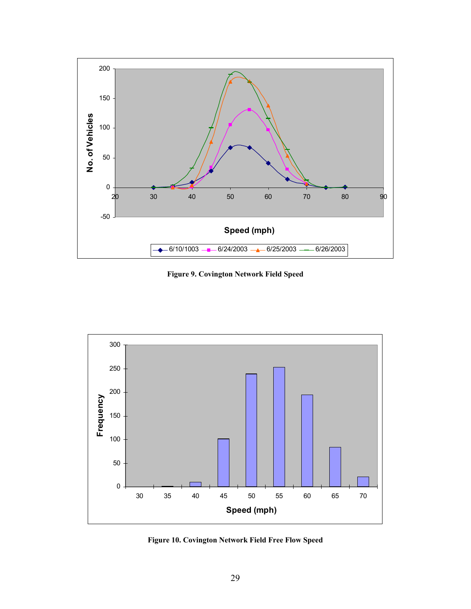

**Figure 9. Covington Network Field Speed** 



**Figure 10. Covington Network Field Free Flow Speed**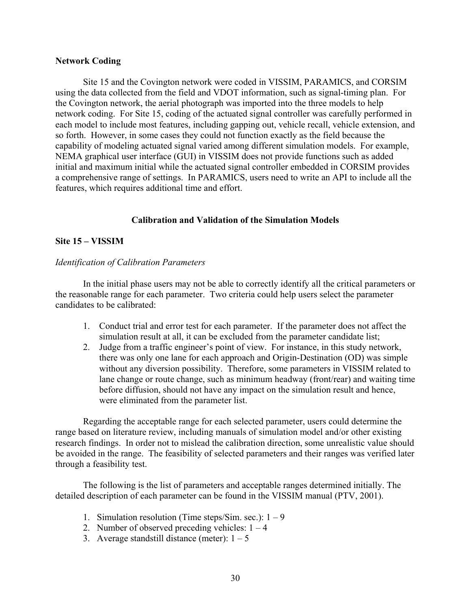### **Network Coding**

Site 15 and the Covington network were coded in VISSIM, PARAMICS, and CORSIM using the data collected from the field and VDOT information, such as signal-timing plan. For the Covington network, the aerial photograph was imported into the three models to help network coding. For Site 15, coding of the actuated signal controller was carefully performed in each model to include most features, including gapping out, vehicle recall, vehicle extension, and so forth. However, in some cases they could not function exactly as the field because the capability of modeling actuated signal varied among different simulation models. For example, NEMA graphical user interface (GUI) in VISSIM does not provide functions such as added initial and maximum initial while the actuated signal controller embedded in CORSIM provides a comprehensive range of settings. In PARAMICS, users need to write an API to include all the features, which requires additional time and effort.

# **Calibration and Validation of the Simulation Models**

# **Site 15 – VISSIM**

# *Identification of Calibration Parameters*

In the initial phase users may not be able to correctly identify all the critical parameters or the reasonable range for each parameter. Two criteria could help users select the parameter candidates to be calibrated:

- 1. Conduct trial and error test for each parameter. If the parameter does not affect the simulation result at all, it can be excluded from the parameter candidate list;
- 2. Judge from a traffic engineer's point of view. For instance, in this study network, there was only one lane for each approach and Origin-Destination (OD) was simple without any diversion possibility. Therefore, some parameters in VISSIM related to lane change or route change, such as minimum headway (front/rear) and waiting time before diffusion, should not have any impact on the simulation result and hence, were eliminated from the parameter list.

Regarding the acceptable range for each selected parameter, users could determine the range based on literature review, including manuals of simulation model and/or other existing research findings. In order not to mislead the calibration direction, some unrealistic value should be avoided in the range. The feasibility of selected parameters and their ranges was verified later through a feasibility test.

The following is the list of parameters and acceptable ranges determined initially. The detailed description of each parameter can be found in the VISSIM manual (PTV, 2001).

- 1. Simulation resolution (Time steps/Sim. sec.):  $1 9$
- 2. Number of observed preceding vehicles:  $1 4$
- 3. Average standstill distance (meter):  $1 5$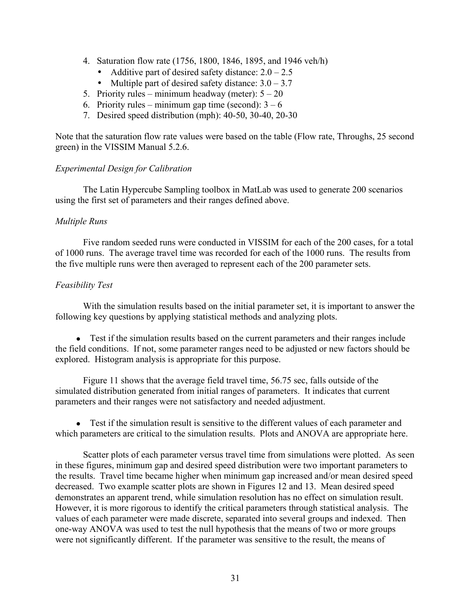- 4. Saturation flow rate (1756, 1800, 1846, 1895, and 1946 veh/h)
	- Additive part of desired safety distance:  $2.0 2.5$
	- Multiple part of desired safety distance:  $3.0 3.7$
- 5. Priority rules minimum headway (meter):  $5 20$
- 6. Priority rules minimum gap time (second):  $3 6$
- 7. Desired speed distribution (mph): 40-50, 30-40, 20-30

Note that the saturation flow rate values were based on the table (Flow rate, Throughs, 25 second green) in the VISSIM Manual 5.2.6.

# *Experimental Design for Calibration*

 The Latin Hypercube Sampling toolbox in MatLab was used to generate 200 scenarios using the first set of parameters and their ranges defined above.

## *Multiple Runs*

Five random seeded runs were conducted in VISSIM for each of the 200 cases, for a total of 1000 runs. The average travel time was recorded for each of the 1000 runs. The results from the five multiple runs were then averaged to represent each of the 200 parameter sets.

# *Feasibility Test*

With the simulation results based on the initial parameter set, it is important to answer the following key questions by applying statistical methods and analyzing plots.

• Test if the simulation results based on the current parameters and their ranges include the field conditions. If not, some parameter ranges need to be adjusted or new factors should be explored. Histogram analysis is appropriate for this purpose.

Figure 11 shows that the average field travel time, 56.75 sec, falls outside of the simulated distribution generated from initial ranges of parameters. It indicates that current parameters and their ranges were not satisfactory and needed adjustment.

• Test if the simulation result is sensitive to the different values of each parameter and which parameters are critical to the simulation results. Plots and ANOVA are appropriate here.

Scatter plots of each parameter versus travel time from simulations were plotted. As seen in these figures, minimum gap and desired speed distribution were two important parameters to the results. Travel time became higher when minimum gap increased and/or mean desired speed decreased. Two example scatter plots are shown in Figures 12 and 13. Mean desired speed demonstrates an apparent trend, while simulation resolution has no effect on simulation result. However, it is more rigorous to identify the critical parameters through statistical analysis. The values of each parameter were made discrete, separated into several groups and indexed. Then one-way ANOVA was used to test the null hypothesis that the means of two or more groups were not significantly different. If the parameter was sensitive to the result, the means of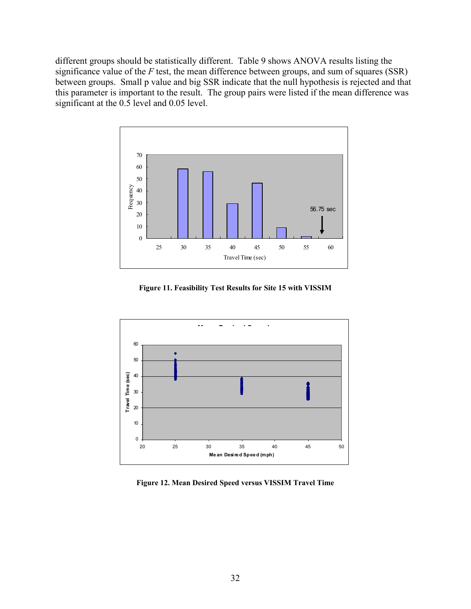different groups should be statistically different. Table 9 shows ANOVA results listing the significance value of the *F* test, the mean difference between groups, and sum of squares (SSR) between groups. Small p value and big SSR indicate that the null hypothesis is rejected and that this parameter is important to the result. The group pairs were listed if the mean difference was significant at the  $0.5$  level and  $0.05$  level.



**Figure 11. Feasibility Test Results for Site 15 with VISSIM** 



**Figure 12. Mean Desired Speed versus VISSIM Travel Time**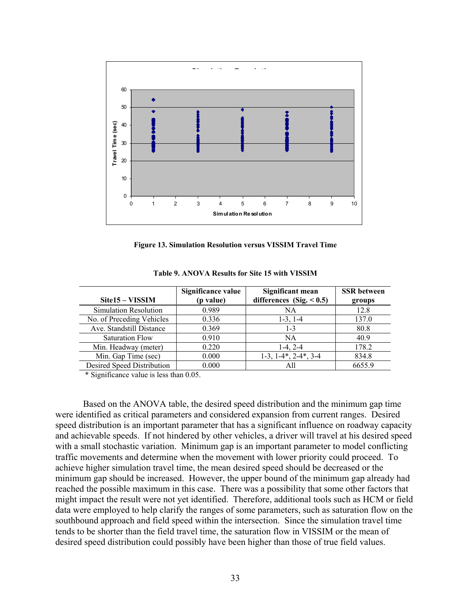

**Figure 13. Simulation Resolution versus VISSIM Travel Time** 

|                            | Significance value | Significant mean              | <b>SSR</b> between |
|----------------------------|--------------------|-------------------------------|--------------------|
| Site15 – VISSIM            | (p value)          | differences (Sig. $< 0.5$ )   | groups             |
| Simulation Resolution      | 0.989              | NA                            | 12.8               |
| No. of Preceding Vehicles  | 0.336              | $1-3, 1-4$                    | 137.0              |
| Ave. Standstill Distance   | 0.369              | $1 - 3$                       | 80.8               |
| <b>Saturation Flow</b>     | 0.910              | <b>NA</b>                     | 40.9               |
| Min. Headway (meter)       | 0.220              | $1-4, 2-4$                    | 178.2              |
| Min. Gap Time (sec)        | 0.000              | $1-3$ , $1-4$ , $2-4$ , $3-4$ | 834.8              |
| Desired Speed Distribution | 0.000              | All                           | 6655.9             |

**Table 9. ANOVA Results for Site 15 with VISSIM** 

\* Significance value is less than 0.05.

Based on the ANOVA table, the desired speed distribution and the minimum gap time were identified as critical parameters and considered expansion from current ranges. Desired speed distribution is an important parameter that has a significant influence on roadway capacity and achievable speeds. If not hindered by other vehicles, a driver will travel at his desired speed with a small stochastic variation. Minimum gap is an important parameter to model conflicting traffic movements and determine when the movement with lower priority could proceed. To achieve higher simulation travel time, the mean desired speed should be decreased or the minimum gap should be increased. However, the upper bound of the minimum gap already had reached the possible maximum in this case. There was a possibility that some other factors that might impact the result were not yet identified. Therefore, additional tools such as HCM or field data were employed to help clarify the ranges of some parameters, such as saturation flow on the southbound approach and field speed within the intersection. Since the simulation travel time tends to be shorter than the field travel time, the saturation flow in VISSIM or the mean of desired speed distribution could possibly have been higher than those of true field values.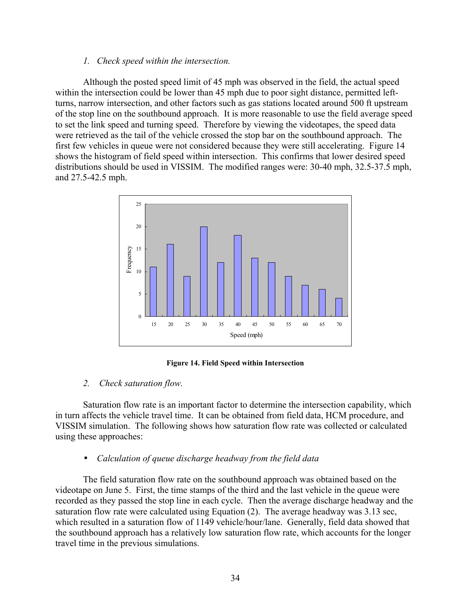# *1. Check speed within the intersection.*

Although the posted speed limit of 45 mph was observed in the field, the actual speed within the intersection could be lower than 45 mph due to poor sight distance, permitted leftturns, narrow intersection, and other factors such as gas stations located around 500 ft upstream of the stop line on the southbound approach. It is more reasonable to use the field average speed to set the link speed and turning speed. Therefore by viewing the videotapes, the speed data were retrieved as the tail of the vehicle crossed the stop bar on the southbound approach. The first few vehicles in queue were not considered because they were still accelerating. Figure 14 shows the histogram of field speed within intersection. This confirms that lower desired speed distributions should be used in VISSIM. The modified ranges were: 30-40 mph, 32.5-37.5 mph, and 27.5-42.5 mph.



**Figure 14. Field Speed within Intersection** 

# *2. Check saturation flow.*

Saturation flow rate is an important factor to determine the intersection capability, which in turn affects the vehicle travel time. It can be obtained from field data, HCM procedure, and VISSIM simulation. The following shows how saturation flow rate was collected or calculated using these approaches:

# • *Calculation of queue discharge headway from the field data*

The field saturation flow rate on the southbound approach was obtained based on the videotape on June 5. First, the time stamps of the third and the last vehicle in the queue were recorded as they passed the stop line in each cycle. Then the average discharge headway and the saturation flow rate were calculated using Equation (2). The average headway was 3.13 sec, which resulted in a saturation flow of 1149 vehicle/hour/lane. Generally, field data showed that the southbound approach has a relatively low saturation flow rate, which accounts for the longer travel time in the previous simulations.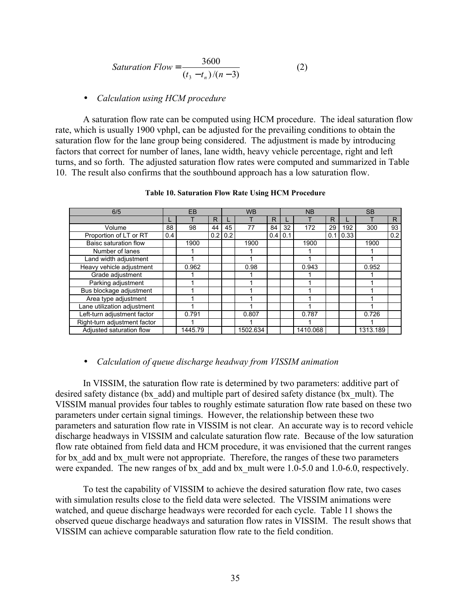$$
Saturation Flow = \frac{3600}{(t_3 - t_n)/(n - 3)}
$$
 (2)

#### • *Calculation using HCM procedure*

A saturation flow rate can be computed using HCM procedure. The ideal saturation flow rate, which is usually 1900 vphpl, can be adjusted for the prevailing conditions to obtain the saturation flow for the lane group being considered. The adjustment is made by introducing factors that correct for number of lanes, lane width, heavy vehicle percentage, right and left turns, and so forth. The adjusted saturation flow rates were computed and summarized in Table 10. The result also confirms that the southbound approach has a low saturation flow.

| 6/5                          | EB  |         |    | <b>WB</b> |          |     | <b>NB</b> |          |     | <b>SB</b> |          |                  |
|------------------------------|-----|---------|----|-----------|----------|-----|-----------|----------|-----|-----------|----------|------------------|
|                              |     |         | R  |           |          | R   |           |          | R   |           |          | R                |
| Volume                       | 88  | 98      | 44 | 45        | 77       | 84  | 32        | 172      | 29  | 192       | 300      | 93               |
| Proportion of LT or RT       | 0.4 |         |    | $0.2$ 0.2 |          | 0.4 | 0.1       |          | 0.1 | 0.33      |          | $\overline{0.2}$ |
| Baisc saturation flow        |     | 1900    |    |           | 1900     |     |           | 1900     |     |           | 1900     |                  |
| Number of lanes              |     |         |    |           |          |     |           |          |     |           |          |                  |
| Land width adjustment        |     |         |    |           |          |     |           |          |     |           |          |                  |
| Heavy vehicle adjustment     |     | 0.962   |    |           | 0.98     |     |           | 0.943    |     |           | 0.952    |                  |
| Grade adjustment             |     |         |    |           |          |     |           |          |     |           |          |                  |
| Parking adjustment           |     |         |    |           |          |     |           |          |     |           |          |                  |
| Bus blockage adjustment      |     |         |    |           |          |     |           |          |     |           |          |                  |
| Area type adjustment         |     |         |    |           |          |     |           |          |     |           |          |                  |
| Lane utilization adjustment  |     |         |    |           |          |     |           |          |     |           |          |                  |
| Left-turn adjustment factor  |     | 0.791   |    |           | 0.807    |     |           | 0.787    |     |           | 0.726    |                  |
| Right-turn adjustment factor |     |         |    |           |          |     |           |          |     |           |          |                  |
| Adjusted saturation flow     |     | 1445.79 |    |           | 1502.634 |     |           | 1410.068 |     |           | 1313.189 |                  |

**Table 10. Saturation Flow Rate Using HCM Procedure** 

#### • *Calculation of queue discharge headway from VISSIM animation*

In VISSIM, the saturation flow rate is determined by two parameters: additive part of desired safety distance (bx\_add) and multiple part of desired safety distance (bx\_mult). The VISSIM manual provides four tables to roughly estimate saturation flow rate based on these two parameters under certain signal timings. However, the relationship between these two parameters and saturation flow rate in VISSIM is not clear. An accurate way is to record vehicle discharge headways in VISSIM and calculate saturation flow rate. Because of the low saturation flow rate obtained from field data and HCM procedure, it was envisioned that the current ranges for bx add and bx mult were not appropriate. Therefore, the ranges of these two parameters were expanded. The new ranges of bx add and bx mult were 1.0-5.0 and 1.0-6.0, respectively.

To test the capability of VISSIM to achieve the desired saturation flow rate, two cases with simulation results close to the field data were selected. The VISSIM animations were watched, and queue discharge headways were recorded for each cycle. Table 11 shows the observed queue discharge headways and saturation flow rates in VISSIM. The result shows that VISSIM can achieve comparable saturation flow rate to the field condition.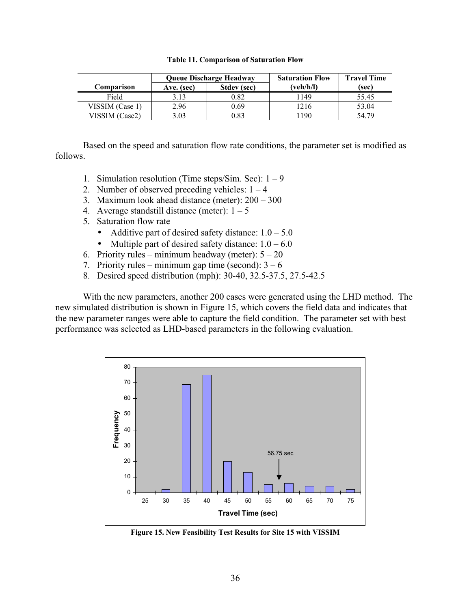| <b>Table 11. Comparison of Saturation Flow</b> |
|------------------------------------------------|
|------------------------------------------------|

|                 | <b>Queue Discharge Headway</b> |             | <b>Saturation Flow</b> | <b>Travel Time</b> |
|-----------------|--------------------------------|-------------|------------------------|--------------------|
| Comparison      | Ave. (sec)                     | Stdev (sec) | (veh/h/l)              | (sec)              |
| Field           | 3.13                           | 0.82        | 149                    | 55.45              |
| VISSIM (Case 1) | 2.96                           | 0.69        | 216ء                   | 53.04              |
| VISSIM (Case2)  | 3.03                           | 0.83        | 190                    | 54 79              |

Based on the speed and saturation flow rate conditions, the parameter set is modified as follows.

- 1. Simulation resolution (Time steps/Sim. Sec):  $1 9$
- 2. Number of observed preceding vehicles:  $1 4$
- 3. Maximum look ahead distance (meter):  $200 300$
- 4. Average standstill distance (meter):  $1 5$
- 5. Saturation flow rate
	- Additive part of desired safety distance:  $1.0 5.0$
	- Multiple part of desired safety distance:  $1.0 6.0$
- 6. Priority rules minimum headway (meter):  $5 20$
- 7. Priority rules minimum gap time (second):  $3 6$
- 8. Desired speed distribution (mph): 30-40, 32.5-37.5, 27.5-42.5

With the new parameters, another 200 cases were generated using the LHD method. The new simulated distribution is shown in Figure 15, which covers the field data and indicates that the new parameter ranges were able to capture the field condition. The parameter set with best performance was selected as LHD-based parameters in the following evaluation.



**Figure 15. New Feasibility Test Results for Site 15 with VISSIM**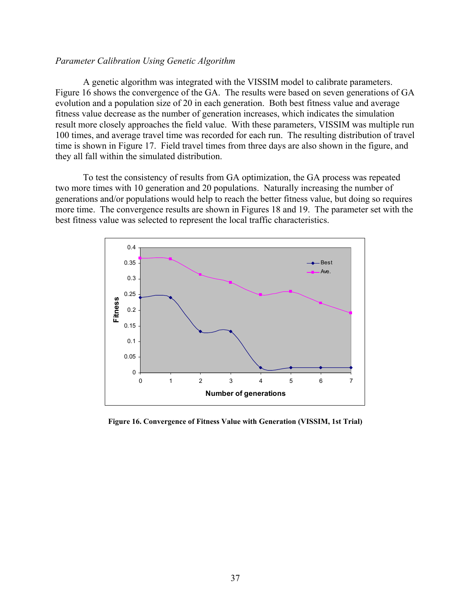### *Parameter Calibration Using Genetic Algorithm*

A genetic algorithm was integrated with the VISSIM model to calibrate parameters. Figure 16 shows the convergence of the GA. The results were based on seven generations of GA evolution and a population size of 20 in each generation. Both best fitness value and average fitness value decrease as the number of generation increases, which indicates the simulation result more closely approaches the field value. With these parameters, VISSIM was multiple run 100 times, and average travel time was recorded for each run. The resulting distribution of travel time is shown in Figure 17. Field travel times from three days are also shown in the figure, and they all fall within the simulated distribution.

To test the consistency of results from GA optimization, the GA process was repeated two more times with 10 generation and 20 populations. Naturally increasing the number of generations and/or populations would help to reach the better fitness value, but doing so requires more time. The convergence results are shown in Figures 18 and 19. The parameter set with the best fitness value was selected to represent the local traffic characteristics.



**Figure 16. Convergence of Fitness Value with Generation (VISSIM, 1st Trial)**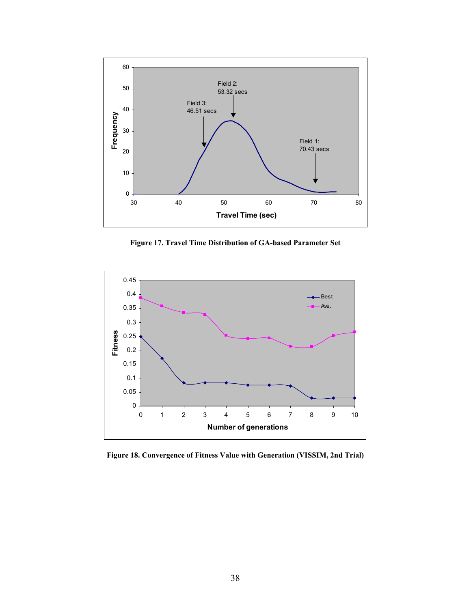

**Figure 17. Travel Time Distribution of GA-based Parameter Set** 



**Figure 18. Convergence of Fitness Value with Generation (VISSIM, 2nd Trial)**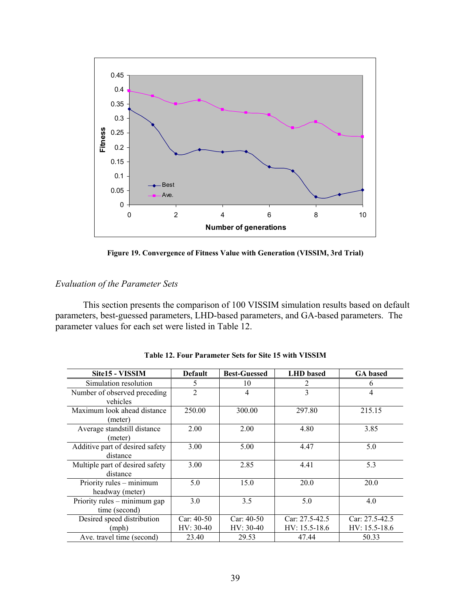

**Figure 19. Convergence of Fitness Value with Generation (VISSIM, 3rd Trial)** 

# *Evaluation of the Parameter Sets*

This section presents the comparison of 100 VISSIM simulation results based on default parameters, best-guessed parameters, LHD-based parameters, and GA-based parameters. The parameter values for each set were listed in Table 12.

| Site15 - VISSIM                               | <b>Default</b>              | <b>Best-Guessed</b>         | <b>LHD</b> based                      | <b>GA</b> based                     |
|-----------------------------------------------|-----------------------------|-----------------------------|---------------------------------------|-------------------------------------|
| Simulation resolution                         | 5                           | 10                          | 2                                     | 6                                   |
| Number of observed preceding<br>vehicles      | $\overline{2}$              | 4                           | 3                                     | 4                                   |
| Maximum look ahead distance<br>(meter)        | 250.00                      | 300.00                      | 297.80                                | 215.15                              |
| Average standstill distance<br>(meter)        | 2.00                        | 2.00                        | 4.80                                  | 3.85                                |
| Additive part of desired safety<br>distance   | 3.00                        | 5.00                        | 4.47                                  | 5.0                                 |
| Multiple part of desired safety<br>distance   | 3.00                        | 2.85                        | 4.41                                  | 5.3                                 |
| Priority rules – minimum<br>headway (meter)   | 5.0                         | 15.0                        | 20.0                                  | 20.0                                |
| Priority rules – minimum gap<br>time (second) | 3.0                         | 3.5                         | 5.0                                   | 4.0                                 |
| Desired speed distribution<br>(mph)           | $Car: 40-50$<br>$HV: 30-40$ | $Car: 40-50$<br>$HV: 30-40$ | Car: $27.5 - 42.5$<br>$HV: 15.5-18.6$ | $Car: 27.5-42.5$<br>$HV: 15.5-18.6$ |
| Ave. travel time (second)                     | 23.40                       | 29.53                       | 47.44                                 | 50.33                               |

**Table 12. Four Parameter Sets for Site 15 with VISSIM**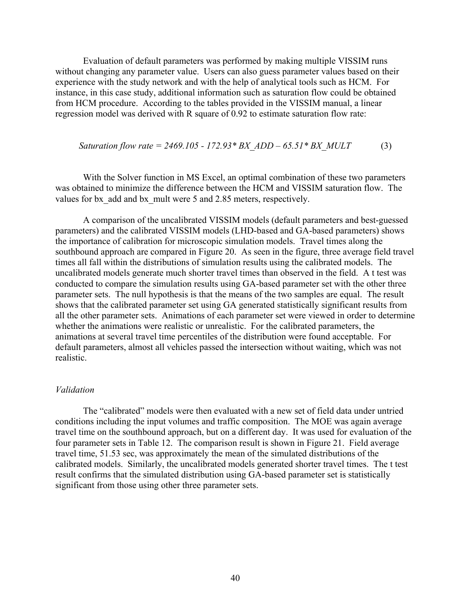Evaluation of default parameters was performed by making multiple VISSIM runs without changing any parameter value. Users can also guess parameter values based on their experience with the study network and with the help of analytical tools such as HCM. For instance, in this case study, additional information such as saturation flow could be obtained from HCM procedure. According to the tables provided in the VISSIM manual, a linear regression model was derived with R square of 0.92 to estimate saturation flow rate:

*Saturation flow rate* = 
$$
2469.105 - 172.93 \cdot BX \, ADD - 65.51 \cdot BX \, MULT
$$
 (3)

With the Solver function in MS Excel, an optimal combination of these two parameters was obtained to minimize the difference between the HCM and VISSIM saturation flow. The values for bx\_add and bx\_mult were 5 and 2.85 meters, respectively.

A comparison of the uncalibrated VISSIM models (default parameters and best-guessed parameters) and the calibrated VISSIM models (LHD-based and GA-based parameters) shows the importance of calibration for microscopic simulation models. Travel times along the southbound approach are compared in Figure 20. As seen in the figure, three average field travel times all fall within the distributions of simulation results using the calibrated models. The uncalibrated models generate much shorter travel times than observed in the field. A t test was conducted to compare the simulation results using GA-based parameter set with the other three parameter sets. The null hypothesis is that the means of the two samples are equal. The result shows that the calibrated parameter set using GA generated statistically significant results from all the other parameter sets. Animations of each parameter set were viewed in order to determine whether the animations were realistic or unrealistic. For the calibrated parameters, the animations at several travel time percentiles of the distribution were found acceptable. For default parameters, almost all vehicles passed the intersection without waiting, which was not realistic.

#### *Validation*

The "calibrated" models were then evaluated with a new set of field data under untried conditions including the input volumes and traffic composition. The MOE was again average travel time on the southbound approach, but on a different day. It was used for evaluation of the four parameter sets in Table 12. The comparison result is shown in Figure 21. Field average travel time, 51.53 sec, was approximately the mean of the simulated distributions of the calibrated models. Similarly, the uncalibrated models generated shorter travel times. The t test result confirms that the simulated distribution using GA-based parameter set is statistically significant from those using other three parameter sets.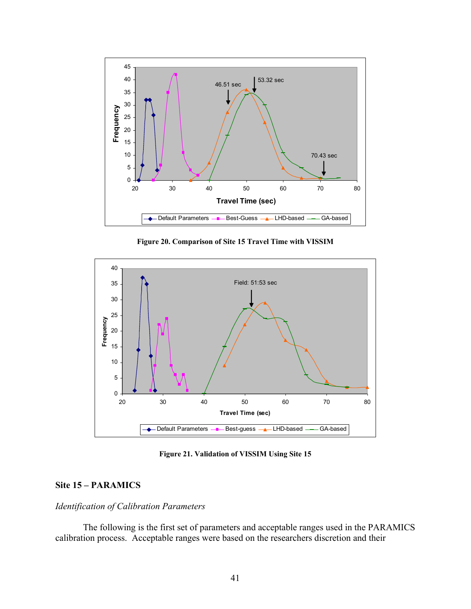

**Figure 20. Comparison of Site 15 Travel Time with VISSIM** 



**Figure 21. Validation of VISSIM Using Site 15** 

# **Site 15 – PARAMICS**

#### *Identification of Calibration Parameters*

The following is the first set of parameters and acceptable ranges used in the PARAMICS calibration process. Acceptable ranges were based on the researchers discretion and their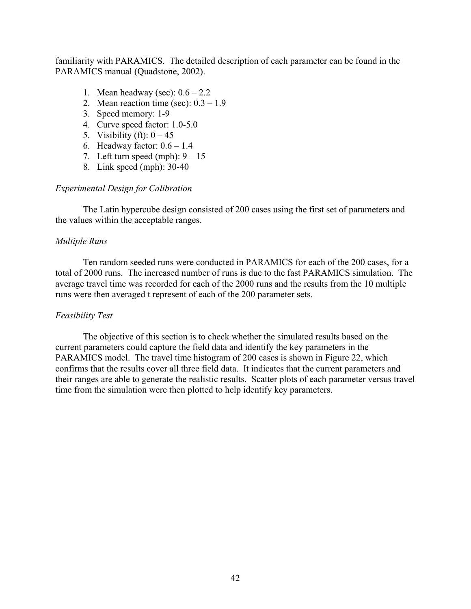familiarity with PARAMICS. The detailed description of each parameter can be found in the PARAMICS manual (Quadstone, 2002).

- 1. Mean headway (sec):  $0.6 2.2$
- 2. Mean reaction time (sec):  $0.3 1.9$
- 3. Speed memory: 1-9
- 4. Curve speed factor: 1.0-5.0
- 5. Visibility (ft):  $0-45$
- 6. Headway factor:  $0.6 1.4$
- 7. Left turn speed (mph):  $9 15$
- 8. Link speed (mph): 30-40

# *Experimental Design for Calibration*

The Latin hypercube design consisted of 200 cases using the first set of parameters and the values within the acceptable ranges.

# *Multiple Runs*

Ten random seeded runs were conducted in PARAMICS for each of the 200 cases, for a total of 2000 runs. The increased number of runs is due to the fast PARAMICS simulation. The average travel time was recorded for each of the 2000 runs and the results from the 10 multiple runs were then averaged t represent of each of the 200 parameter sets.

# *Feasibility Test*

The objective of this section is to check whether the simulated results based on the current parameters could capture the field data and identify the key parameters in the PARAMICS model. The travel time histogram of 200 cases is shown in Figure 22, which confirms that the results cover all three field data. It indicates that the current parameters and their ranges are able to generate the realistic results. Scatter plots of each parameter versus travel time from the simulation were then plotted to help identify key parameters.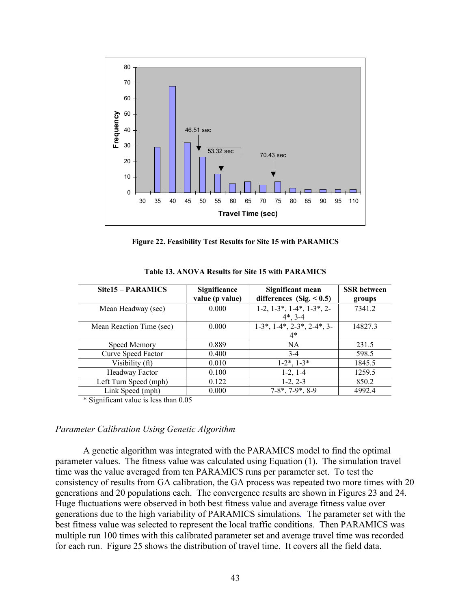

**Figure 22. Feasibility Test Results for Site 15 with PARAMICS** 

| Site15 – PARAMICS        | Significance<br>value (p value) | Significant mean<br>differences $(Sig. < 0.5)$ | <b>SSR</b> between<br>groups |
|--------------------------|---------------------------------|------------------------------------------------|------------------------------|
| Mean Headway (sec)       | 0.000                           | $1-2, 1-3, 1-4, 1-3, 2-$<br>$4^*$ , 3-4        | 7341.2                       |
| Mean Reaction Time (sec) | 0.000                           | $1-3$ *, $1-4$ *, $2-3$ *, $2-4$ *, 3-<br>$4*$ | 14827.3                      |
| Speed Memory             | 0.889                           | <b>NA</b>                                      | 231.5                        |
| Curve Speed Factor       | 0.400                           | $3 - 4$                                        | 598.5                        |
| Visibility (ft)          | 0.010                           | $1-2^*$ , $1-3^*$                              | 1845.5                       |
| Headway Factor           | 0.100                           | $1-2, 1-4$                                     | 1259.5                       |
| Left Turn Speed (mph)    | 0.122                           | $1-2, 2-3$                                     | 850.2                        |
| Link Speed (mph)         | 0.000                           | $7-8^*$ , $7-9^*$ , $8-9$                      | 4992.4                       |

**Table 13. ANOVA Results for Site 15 with PARAMICS** 

\* Significant value is less than 0.05

### *Parameter Calibration Using Genetic Algorithm*

A genetic algorithm was integrated with the PARAMICS model to find the optimal parameter values. The fitness value was calculated using Equation (1). The simulation travel time was the value averaged from ten PARAMICS runs per parameter set. To test the consistency of results from GA calibration, the GA process was repeated two more times with 20 generations and 20 populations each. The convergence results are shown in Figures 23 and 24. Huge fluctuations were observed in both best fitness value and average fitness value over generations due to the high variability of PARAMICS simulations*.* The parameter set with the best fitness value was selected to represent the local traffic conditions. Then PARAMICS was multiple run 100 times with this calibrated parameter set and average travel time was recorded for each run. Figure 25 shows the distribution of travel time. It covers all the field data.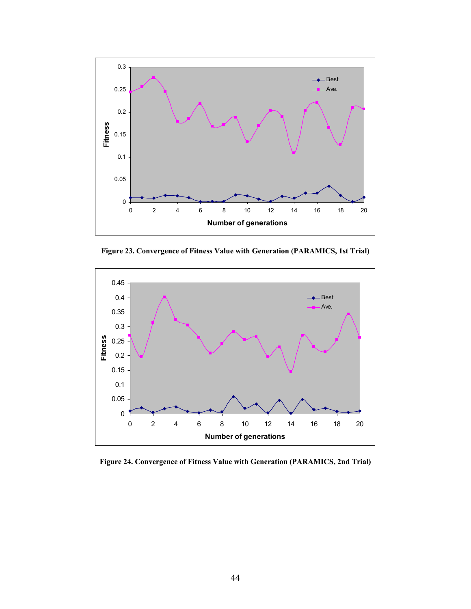

**Figure 23. Convergence of Fitness Value with Generation (PARAMICS, 1st Trial)** 



**Figure 24. Convergence of Fitness Value with Generation (PARAMICS, 2nd Trial)**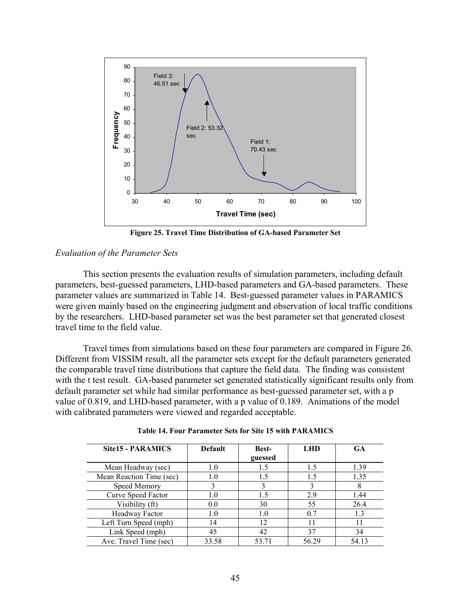

**Figure 25. Travel Time Distribution of GA-based Parameter Set** 

## *Evaluation of the Parameter Sets*

This section presents the evaluation results of simulation parameters, including default parameters, best-guessed parameters, LHD-based parameters and GA-based parameters. These parameter values are summarized in Table 14. Best-guessed parameter values in PARAMICS were given mainly based on the engineering judgment and observation of local traffic conditions by the researchers. LHD-based parameter set was the best parameter set that generated closest travel time to the field value.

Travel times from simulations based on these four parameters are compared in Figure 26. Different from VISSIM result, all the parameter sets except for the default parameters generated the comparable travel time distributions that capture the field data. The finding was consistent with the t test result. GA-based parameter set generated statistically significant results only from default parameter set while had similar performance as best-guessed parameter set, with a p value of 0.819, and LHD-based parameter, with a p value of 0.189. Animations of the model with calibrated parameters were viewed and regarded acceptable.

| <b>Site15 - PARAMICS</b> | <b>Default</b> | <b>Best-</b> | <b>LHD</b> | GA    |
|--------------------------|----------------|--------------|------------|-------|
|                          |                | guessed      |            |       |
| Mean Headway (sec)       | 1.0            | 1.5          | 1.5        | 1.39  |
| Mean Reaction Time (sec) | 1.0            | 1.5          | 15         | 1.35  |
| Speed Memory             |                |              |            |       |
| Curve Speed Factor       | 1.0            | 1.5          | 2.9        | 1.44  |
| Visibility (ft)          | 0.0            | 30           | 55         | 26.4  |
| Headway Factor           | 1.0            | 1.0          | 0.7        | 13    |
| Left Turn Speed (mph)    | 14             | 12           |            |       |
| Link Speed (mph)         | 45             | 42           | 37         | 34    |
| Ave. Travel Time (sec)   | 33.58          | 53.71        | 56.29      | 54.13 |

**Table 14. Four Parameter Sets for Site 15 with PARAMICS**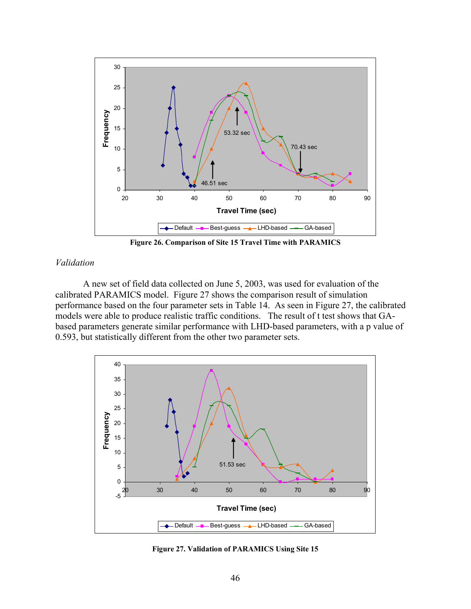

**Figure 26. Comparison of Site 15 Travel Time with PARAMICS** 

# *Validation*

A new set of field data collected on June 5, 2003, was used for evaluation of the calibrated PARAMICS model. Figure 27 shows the comparison result of simulation performance based on the four parameter sets in Table 14. As seen in Figure 27, the calibrated models were able to produce realistic traffic conditions. The result of t test shows that GAbased parameters generate similar performance with LHD-based parameters, with a p value of 0.593, but statistically different from the other two parameter sets.



**Figure 27. Validation of PARAMICS Using Site 15**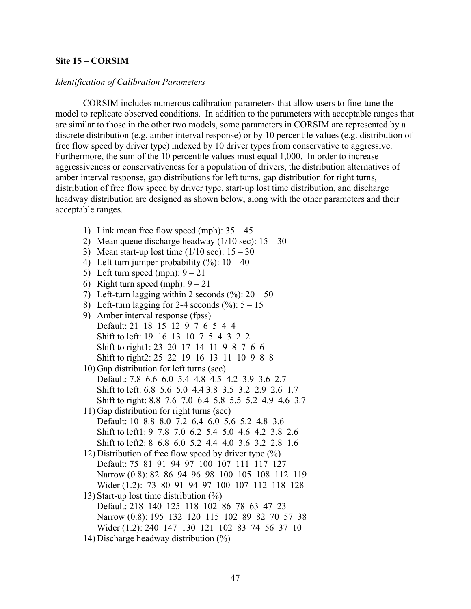# **Site 15 – CORSIM**

#### *Identification of Calibration Parameters*

CORSIM includes numerous calibration parameters that allow users to fine-tune the model to replicate observed conditions. In addition to the parameters with acceptable ranges that are similar to those in the other two models, some parameters in CORSIM are represented by a discrete distribution (e.g. amber interval response) or by 10 percentile values (e.g. distribution of free flow speed by driver type) indexed by 10 driver types from conservative to aggressive. Furthermore, the sum of the 10 percentile values must equal 1,000. In order to increase aggressiveness or conservativeness for a population of drivers, the distribution alternatives of amber interval response, gap distributions for left turns, gap distribution for right turns, distribution of free flow speed by driver type, start-up lost time distribution, and discharge headway distribution are designed as shown below, along with the other parameters and their acceptable ranges.

- 1) Link mean free flow speed (mph):  $35 45$
- 2) Mean queue discharge headway  $(1/10 \text{ sec})$ :  $15 30$
- 3) Mean start-up lost time  $(1/10 \text{ sec})$ :  $15 30$
- 4) Left turn jumper probability  $(\%): 10 40$
- 5) Left turn speed (mph):  $9 21$
- 6) Right turn speed (mph):  $9 21$
- 7) Left-turn lagging within 2 seconds  $(\%): 20 50$
- 8) Left-turn lagging for 2-4 seconds  $(\%): 5 15$
- 9) Amber interval response (fpss) Default: 21 18 15 12 9 7 6 5 4 4 Shift to left: 19 16 13 10 7 5 4 3 2 2 Shift to right1: 23 20 17 14 11 9 8 7 6 6 Shift to right2: 25 22 19 16 13 11 10 9 8 8
- 10) Gap distribution for left turns (sec) Default: 7.8 6.6 6.0 5.4 4.8 4.5 4.2 3.9 3.6 2.7 Shift to left: 6.8 5.6 5.0 4.4 3.8 3.5 3.2 2.9 2.6 1.7 Shift to right: 8.8 7.6 7.0 6.4 5.8 5.5 5.2 4.9 4.6 3.7
- 11) Gap distribution for right turns (sec) Default: 10 8.8 8.0 7.2 6.4 6.0 5.6 5.2 4.8 3.6 Shift to left1: 9 7.8 7.0 6.2 5.4 5.0 4.6 4.2 3.8 2.6 Shift to left2: 8 6.8 6.0 5.2 4.4 4.0 3.6 3.2 2.8 1.6
- 12) Distribution of free flow speed by driver type (%) Default: 75 81 91 94 97 100 107 111 117 127 Narrow (0.8): 82 86 94 96 98 100 105 108 112 119 Wider (1.2): 73 80 91 94 97 100 107 112 118 128
- 13) Start-up lost time distribution  $(\%)$ Default: 218 140 125 118 102 86 78 63 47 23 Narrow (0.8): 195 132 120 115 102 89 82 70 57 38 Wider (1.2): 240 147 130 121 102 83 74 56 37 10
- 14) Discharge headway distribution (%)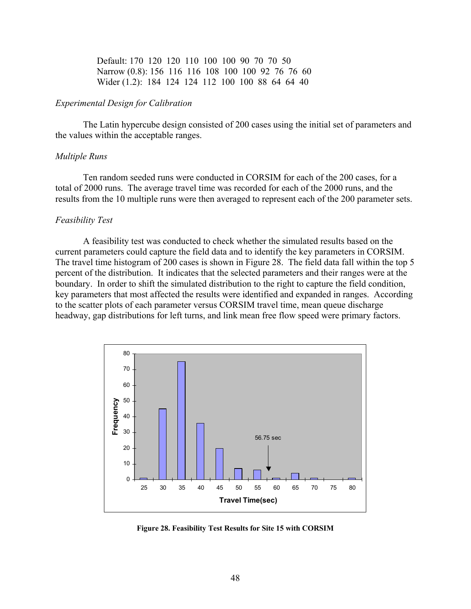Default: 170 120 120 110 100 100 90 70 70 50 Narrow (0.8): 156 116 116 108 100 100 92 76 76 60 Wider (1.2): 184 124 124 112 100 100 88 64 64 40

# *Experimental Design for Calibration*

The Latin hypercube design consisted of 200 cases using the initial set of parameters and the values within the acceptable ranges.

### *Multiple Runs*

Ten random seeded runs were conducted in CORSIM for each of the 200 cases, for a total of 2000 runs. The average travel time was recorded for each of the 2000 runs, and the results from the 10 multiple runs were then averaged to represent each of the 200 parameter sets.

#### *Feasibility Test*

A feasibility test was conducted to check whether the simulated results based on the current parameters could capture the field data and to identify the key parameters in CORSIM. The travel time histogram of 200 cases is shown in Figure 28. The field data fall within the top 5 percent of the distribution. It indicates that the selected parameters and their ranges were at the boundary. In order to shift the simulated distribution to the right to capture the field condition, key parameters that most affected the results were identified and expanded in ranges. According to the scatter plots of each parameter versus CORSIM travel time, mean queue discharge headway, gap distributions for left turns, and link mean free flow speed were primary factors.



**Figure 28. Feasibility Test Results for Site 15 with CORSIM**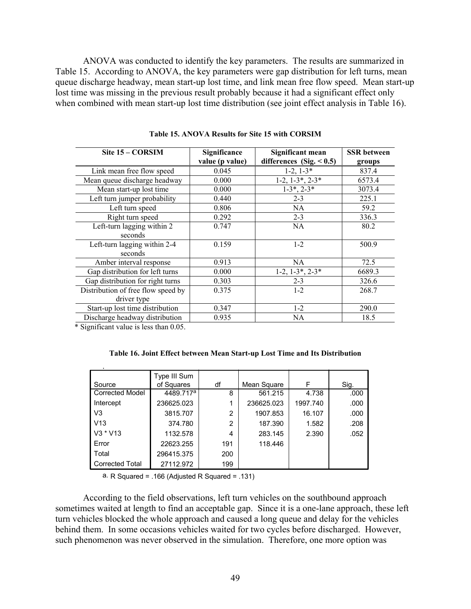ANOVA was conducted to identify the key parameters. The results are summarized in Table 15. According to ANOVA, the key parameters were gap distribution for left turns, mean queue discharge headway, mean start-up lost time, and link mean free flow speed. Mean start-up lost time was missing in the previous result probably because it had a significant effect only when combined with mean start-up lost time distribution (see joint effect analysis in Table 16).

| Site 15 – CORSIM                   | Significance    | Significant mean            | <b>SSR</b> between |
|------------------------------------|-----------------|-----------------------------|--------------------|
|                                    | value (p value) | differences (Sig. $< 0.5$ ) | groups             |
| Link mean free flow speed          | 0.045           | $1-2$ , $1-3*$              | 837.4              |
| Mean queue discharge headway       | 0.000           | $1-2, 1-3^*, 2-3^*$         | 6573.4             |
| Mean start-up lost time            | 0.000           | $1-3^*$ , $2-3^*$           | 3073.4             |
| Left turn jumper probability       | 0.440           | $2 - 3$                     | 225.1              |
| Left turn speed                    | 0.806           | NA.                         | 59.2               |
| Right turn speed                   | 0.292           | $2 - 3$                     | 336.3              |
| Left-turn lagging within 2         | 0.747           | NA.                         | 80.2               |
| seconds                            |                 |                             |                    |
| Left-turn lagging within 2-4       | 0.159           | $1 - 2$                     | 500.9              |
| seconds                            |                 |                             |                    |
| Amber interval response            | 0.913           | NA                          | 72.5               |
| Gap distribution for left turns    | 0.000           | $1-2, 1-3^*, 2-3^*$         | 6689.3             |
| Gap distribution for right turns   | 0.303           | $2 - 3$                     | 326.6              |
| Distribution of free flow speed by | 0.375           | $1-2$                       | 268.7              |
| driver type                        |                 |                             |                    |
| Start-up lost time distribution    | 0.347           | $1-2$                       | 290.0              |
| Discharge headway distribution     | 0.935           | NA                          | 18.5               |

**Table 15. ANOVA Results for Site 15 with CORSIM** 

\* Significant value is less than 0.05.

p

|  |  |  |  |  |  |  |  |  | Table 16. Joint Effect between Mean Start-up Lost Time and Its Distribution |
|--|--|--|--|--|--|--|--|--|-----------------------------------------------------------------------------|
|--|--|--|--|--|--|--|--|--|-----------------------------------------------------------------------------|

|                        | Type III Sum          |     |             |          |      |
|------------------------|-----------------------|-----|-------------|----------|------|
| Source                 | of Squares            | df  | Mean Square | F        | Sig. |
| <b>Corrected Model</b> | 4489.717 <sup>a</sup> | 8   | 561.215     | 4.738    | .000 |
| Intercept              | 236625.023            | 1   | 236625.023  | 1997.740 | .000 |
| V <sub>3</sub>         | 3815.707              | 2   | 1907.853    | 16.107   | .000 |
| V <sub>13</sub>        | 374.780               | 2   | 187.390     | 1.582    | .208 |
| V3 * V13               | 1132.578              | 4   | 283.145     | 2.390    | .052 |
| Error                  | 22623.255             | 191 | 118,446     |          |      |
| Total                  | 296415.375            | 200 |             |          |      |
| <b>Corrected Total</b> | 27112.972             | 199 |             |          |      |

a. R Squared = .166 (Adjusted R Squared = .131)

According to the field observations, left turn vehicles on the southbound approach sometimes waited at length to find an acceptable gap. Since it is a one-lane approach, these left turn vehicles blocked the whole approach and caused a long queue and delay for the vehicles behind them. In some occasions vehicles waited for two cycles before discharged. However, such phenomenon was never observed in the simulation. Therefore, one more option was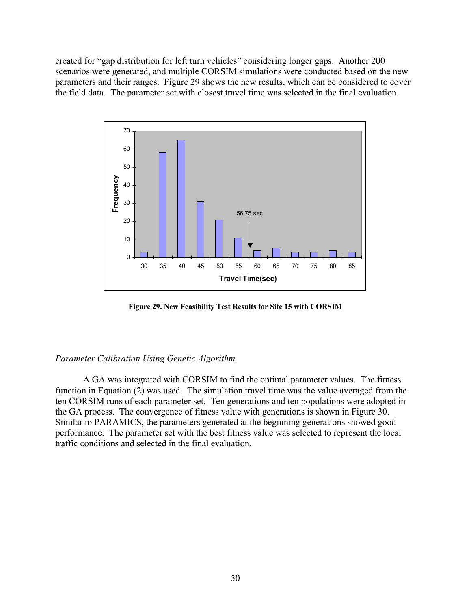created for "gap distribution for left turn vehicles" considering longer gaps. Another 200 scenarios were generated, and multiple CORSIM simulations were conducted based on the new parameters and their ranges. Figure 29 shows the new results, which can be considered to cover the field data. The parameter set with closest travel time was selected in the final evaluation.



**Figure 29. New Feasibility Test Results for Site 15 with CORSIM** 

## *Parameter Calibration Using Genetic Algorithm*

A GA was integrated with CORSIM to find the optimal parameter values. The fitness function in Equation (2) was used. The simulation travel time was the value averaged from the ten CORSIM runs of each parameter set. Ten generations and ten populations were adopted in the GA process. The convergence of fitness value with generations is shown in Figure 30. Similar to PARAMICS, the parameters generated at the beginning generations showed good performance. The parameter set with the best fitness value was selected to represent the local traffic conditions and selected in the final evaluation.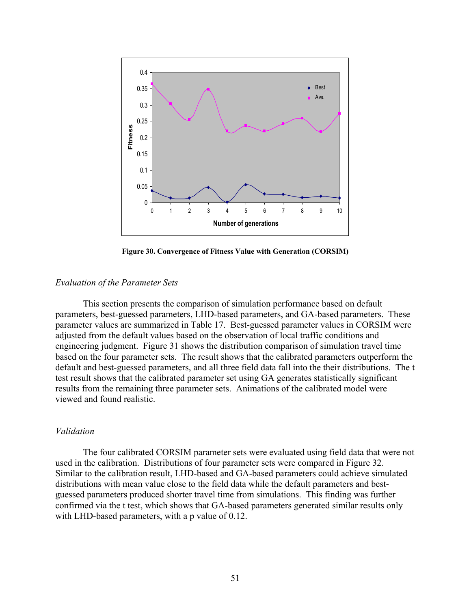

**Figure 30. Convergence of Fitness Value with Generation (CORSIM)**

## *Evaluation of the Parameter Sets*

This section presents the comparison of simulation performance based on default parameters, best-guessed parameters, LHD-based parameters, and GA-based parameters. These parameter values are summarized in Table 17. Best-guessed parameter values in CORSIM were adjusted from the default values based on the observation of local traffic conditions and engineering judgment. Figure 31 shows the distribution comparison of simulation travel time based on the four parameter sets. The result shows that the calibrated parameters outperform the default and best-guessed parameters, and all three field data fall into the their distributions. The t test result shows that the calibrated parameter set using GA generates statistically significant results from the remaining three parameter sets. Animations of the calibrated model were viewed and found realistic.

# *Validation*

The four calibrated CORSIM parameter sets were evaluated using field data that were not used in the calibration. Distributions of four parameter sets were compared in Figure 32. Similar to the calibration result, LHD-based and GA-based parameters could achieve simulated distributions with mean value close to the field data while the default parameters and bestguessed parameters produced shorter travel time from simulations. This finding was further confirmed via the t test, which shows that GA-based parameters generated similar results only with LHD-based parameters, with a p value of 0.12.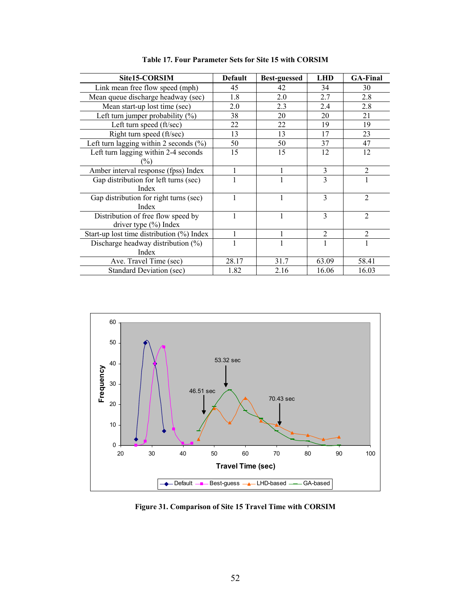| Site15-CORSIM                                | <b>Default</b> | <b>Best-guessed</b> | <b>LHD</b>     | <b>GA-Final</b> |
|----------------------------------------------|----------------|---------------------|----------------|-----------------|
| Link mean free flow speed (mph)              | 45             | 42                  | 34             | 30              |
| Mean queue discharge headway (sec)           | 1.8            | 2.0                 | 2.7            | 2.8             |
| Mean start-up lost time (sec)                | 2.0            | 2.3                 | 2.4            | 2.8             |
| Left turn jumper probability $(\%)$          | 38             | 20                  | 20             | 21              |
| Left turn speed (ft/sec)                     | 22             | 22                  | 19             | 19              |
| Right turn speed (ft/sec)                    | 13             | 13                  | 17             | 23              |
| Left turn lagging within 2 seconds $(\% )$   | 50             | 50                  | 37             | 47              |
| Left turn lagging within 2-4 seconds         | 15             | 15                  | 12             | 12              |
| $\binom{0}{0}$                               |                |                     |                |                 |
| Amber interval response (fpss) Index         |                |                     | 3              | $\overline{2}$  |
| Gap distribution for left turns (sec)        |                |                     | 3              |                 |
| Index                                        |                |                     |                |                 |
| Gap distribution for right turns (sec)       |                | 1                   | 3              | $\overline{2}$  |
| Index                                        |                |                     |                |                 |
| Distribution of free flow speed by           |                |                     | $\mathbf{3}$   | $\overline{2}$  |
| driver type $(\% )$ Index                    |                |                     |                |                 |
| Start-up lost time distribution $(\%)$ Index |                |                     | $\mathfrak{D}$ | $\mathcal{D}$   |
| Discharge headway distribution $(\%)$        |                |                     |                |                 |
| Index                                        |                |                     |                |                 |
| Ave. Travel Time (sec)                       | 28.17          | 31.7                | 63.09          | 58.41           |
| <b>Standard Deviation (sec)</b>              | 1.82           | 2.16                | 16.06          | 16.03           |

**Table 17. Four Parameter Sets for Site 15 with CORSIM** 



**Figure 31. Comparison of Site 15 Travel Time with CORSIM**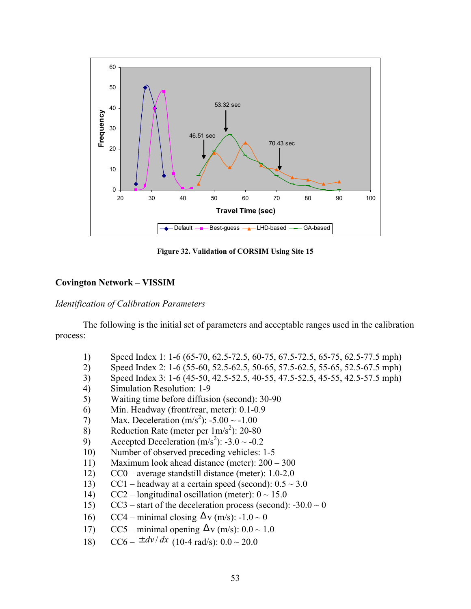

**Figure 32. Validation of CORSIM Using Site 15**

# **Covington Network – VISSIM**

# *Identification of Calibration Parameters*

The following is the initial set of parameters and acceptable ranges used in the calibration process:

- 1) Speed Index 1: 1-6 (65-70, 62.5-72.5, 60-75, 67.5-72.5, 65-75, 62.5-77.5 mph)
- 2) Speed Index 2: 1-6 (55-60, 52.5-62.5, 50-65, 57.5-62.5, 55-65, 52.5-67.5 mph)
- 3) Speed Index 3: 1-6 (45-50, 42.5-52.5, 40-55, 47.5-52.5, 45-55, 42.5-57.5 mph)
- 4) Simulation Resolution: 1-9
- 5) Waiting time before diffusion (second): 30-90
- 6) Min. Headway (front/rear, meter): 0.1-0.9
- 7) Max. Deceleration  $(m/s^2)$ : -5.00 ~ -1.00
- 8) Reduction Rate (meter per  $1 \text{ m/s}^2$ ): 20-80
- 9) Accepted Deceleration  $(m/s^2)$ : -3.0 ~ -0.2
- 10) Number of observed preceding vehicles: 1-5
- 11) Maximum look ahead distance (meter):  $200 300$
- 12)  $CC0$  average standstill distance (meter): 1.0-2.0
- 13) CC1 headway at a certain speed (second):  $0.5 \sim 3.0$
- 14) CC2 longitudinal oscillation (meter):  $0 \sim 15.0$
- 15) CC3 start of the deceleration process (second):  $-30.0 \sim 0$
- 16) CC4 minimal closing  $\Delta$  v (m/s): -1.0 ~ 0
- 17) CC5 minimal opening  $\Delta$ v (m/s): 0.0 ~ 1.0
- 18)  $CC6 \pm \frac{dv}{dx}$  (10-4 rad/s):  $0.0 \sim 20.0$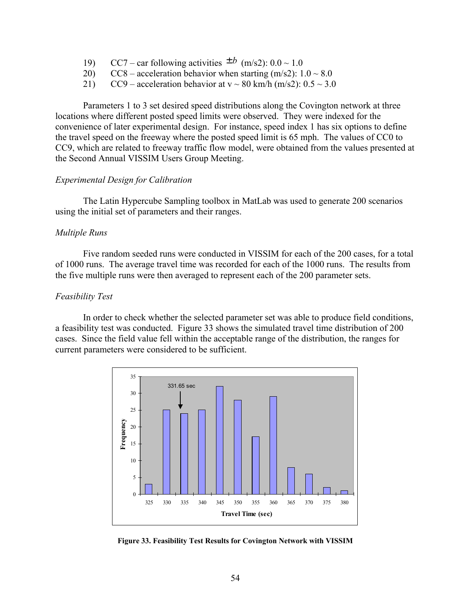- 19) CC7 car following activities  $\pm b$  (m/s2):  $0.0 \sim 1.0$
- 20) CC8 acceleration behavior when starting  $(m/s2)$ :  $1.0 \sim 8.0$
- 21) CC9 acceleration behavior at  $v \sim 80$  km/h (m/s2):  $0.5 \sim 3.0$

Parameters 1 to 3 set desired speed distributions along the Covington network at three locations where different posted speed limits were observed. They were indexed for the convenience of later experimental design. For instance, speed index 1 has six options to define the travel speed on the freeway where the posted speed limit is 65 mph. The values of CC0 to CC9, which are related to freeway traffic flow model, were obtained from the values presented at the Second Annual VISSIM Users Group Meeting.

# *Experimental Design for Calibration*

The Latin Hypercube Sampling toolbox in MatLab was used to generate 200 scenarios using the initial set of parameters and their ranges.

## *Multiple Runs*

Five random seeded runs were conducted in VISSIM for each of the 200 cases, for a total of 1000 runs. The average travel time was recorded for each of the 1000 runs. The results from the five multiple runs were then averaged to represent each of the 200 parameter sets.

# *Feasibility Test*

In order to check whether the selected parameter set was able to produce field conditions, a feasibility test was conducted. Figure 33 shows the simulated travel time distribution of 200 cases. Since the field value fell within the acceptable range of the distribution, the ranges for current parameters were considered to be sufficient.



**Figure 33. Feasibility Test Results for Covington Network with VISSIM**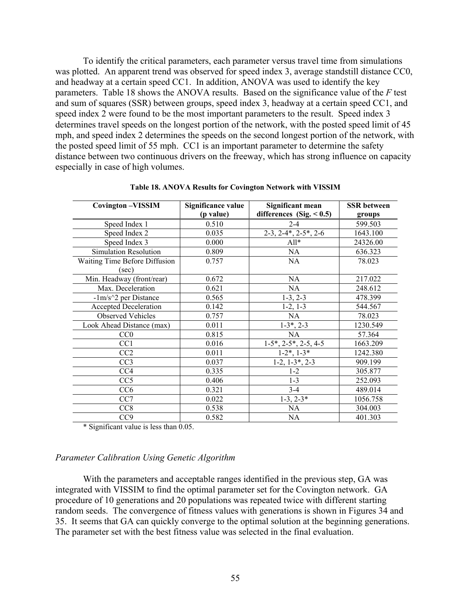To identify the critical parameters, each parameter versus travel time from simulations was plotted. An apparent trend was observed for speed index 3, average standstill distance CC0, and headway at a certain speed CC1. In addition, ANOVA was used to identify the key parameters. Table 18 shows the ANOVA results. Based on the significance value of the *F* test and sum of squares (SSR) between groups, speed index 3, headway at a certain speed CC1, and speed index 2 were found to be the most important parameters to the result. Speed index 3 determines travel speeds on the longest portion of the network, with the posted speed limit of 45 mph, and speed index 2 determines the speeds on the second longest portion of the network, with the posted speed limit of 55 mph. CC1 is an important parameter to determine the safety distance between two continuous drivers on the freeway, which has strong influence on capacity especially in case of high volumes.

| <b>Covington-VISSIM</b>       | Significance value | Significant mean                                      | <b>SSR</b> between |
|-------------------------------|--------------------|-------------------------------------------------------|--------------------|
|                               | (p value)          | differences (Sig. $< 0.5$ )                           | groups             |
| Speed Index 1                 | 0.510              | $2 - 4$                                               | 599.503            |
| Speed Index 2                 | 0.035              | $2-3, 2-4, 2-5, 2-6$                                  | 1643.100           |
| Speed Index 3                 | 0.000              | $All*$                                                | 24326.00           |
| <b>Simulation Resolution</b>  | 0.809              | NA                                                    | 636.323            |
| Waiting Time Before Diffusion | 0.757              | NA.                                                   | 78.023             |
| (sec)                         |                    |                                                       |                    |
| Min. Headway (front/rear)     | 0.672              | <b>NA</b>                                             | 217.022            |
| Max. Deceleration             | 0.621              | NA.                                                   | 248.612            |
| $-1m/s^2$ per Distance        | 0.565              | $1-3, 2-3$                                            | 478.399            |
| Accepted Deceleration         | 0.142              | $1-2, 1-3$                                            | 544.567            |
| <b>Observed Vehicles</b>      | 0.757              | <b>NA</b>                                             | 78.023             |
| Look Ahead Distance (max)     | 0.011              | $1-3^*$ , 2-3                                         | 1230.549           |
| CC0                           | 0.815              | <b>NA</b>                                             | 57.364             |
| CC <sub>1</sub>               | 0.016              | $1-5$ <sup>*</sup> , $2-5$ <sup>*</sup> , $2-5$ , 4-5 | 1663.209           |
| CC2                           | 0.011              | $1-2^*$ , $1-3^*$                                     | 1242.380           |
| CC <sub>3</sub>               | 0.037              | $1-2, 1-3^*, 2-3$                                     | 909.199            |
| CC <sub>4</sub>               | 0.335              | $1 - 2$                                               | 305.877            |
| CC <sub>5</sub>               | 0.406              | $1-3$                                                 | 252.093            |
| CC <sub>6</sub>               | 0.321              | $3 - 4$                                               | 489.014            |
| CC <sub>7</sub>               | 0.022              | $1-3$ , $2-3*$                                        | 1056.758           |
| CC <sub>8</sub>               | 0.538              | <b>NA</b>                                             | 304.003            |
| CC <sub>9</sub>               | 0.582              | NA                                                    | 401.303            |

**Table 18. ANOVA Results for Covington Network with VISSIM** 

\* Significant value is less than 0.05.

### *Parameter Calibration Using Genetic Algorithm*

With the parameters and acceptable ranges identified in the previous step, GA was integrated with VISSIM to find the optimal parameter set for the Covington network. GA procedure of 10 generations and 20 populations was repeated twice with different starting random seeds. The convergence of fitness values with generations is shown in Figures 34 and 35. It seems that GA can quickly converge to the optimal solution at the beginning generations. The parameter set with the best fitness value was selected in the final evaluation.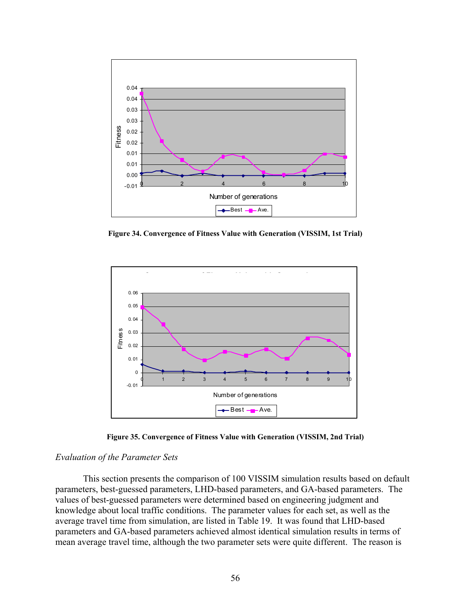

**Figure 34. Convergence of Fitness Value with Generation (VISSIM, 1st Trial)** 



**Figure 35. Convergence of Fitness Value with Generation (VISSIM, 2nd Trial)** 

#### *Evaluation of the Parameter Sets*

This section presents the comparison of 100 VISSIM simulation results based on default parameters, best-guessed parameters, LHD-based parameters, and GA-based parameters. The values of best-guessed parameters were determined based on engineering judgment and knowledge about local traffic conditions. The parameter values for each set, as well as the average travel time from simulation, are listed in Table 19. It was found that LHD-based parameters and GA-based parameters achieved almost identical simulation results in terms of mean average travel time, although the two parameter sets were quite different. The reason is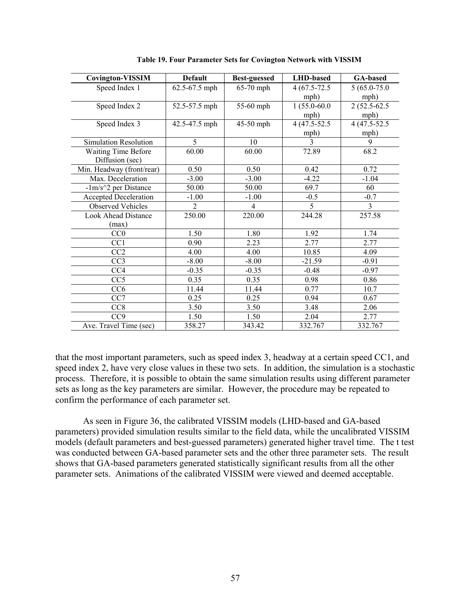| <b>Covington-VISSIM</b>      | <b>Default</b> | <b>Best-guessed</b> | <b>LHD-based</b> | <b>GA-based</b> |
|------------------------------|----------------|---------------------|------------------|-----------------|
| Speed Index 1                | 62.5-67.5 mph  | 65-70 mph           | $4(67.5 - 72.5$  | $5(65.0 - 75.0$ |
|                              |                |                     | mph)             | mph)            |
| Speed Index 2                | 52.5-57.5 mph  | 55-60 mph           | $1(55.0 - 60.0$  | $2(52.5-62.5)$  |
|                              |                |                     | mph)             | mph)            |
| Speed Index 3                | 42.5-47.5 mph  | 45-50 mph           | 4 (47.5-52.5)    | 4 (47.5-52.5)   |
|                              |                |                     | mph)             | mph)            |
| Simulation Resolution        | 5              | 10                  | $\mathcal{E}$    | 9               |
| <b>Waiting Time Before</b>   | 60.00          | 60.00               | 72.89            | 68.2            |
| Diffusion (sec)              |                |                     |                  |                 |
| Min. Headway (front/rear)    | 0.50           | 0.50                | 0.42             | 0.72            |
| Max. Deceleration            | $-3.00$        | $-3.00$             | $-4.22$          | $-1.04$         |
| $-1m/s^2$ per Distance       | 50.00          | 50.00               | 69.7             | 60              |
| <b>Accepted Deceleration</b> | $-1.00$        | $-1.00$             | $-0.5$           | $-0.7$          |
| <b>Observed Vehicles</b>     | $\overline{2}$ | 4                   | 5                | 3               |
| <b>Look Ahead Distance</b>   | 250.00         | 220.00              | 244.28           | 257.58          |
| (max)                        |                |                     |                  |                 |
| CC0                          | 1.50           | 1.80                | 1.92             | 1.74            |
| CC <sub>1</sub>              | 0.90           | 2.23                | 2.77             | 2.77            |
| CC <sub>2</sub>              | 4.00           | 4.00                | 10.85            | 4.09            |
| CC <sub>3</sub>              | $-8.00$        | $-8.00$             | $-21.59$         | $-0.91$         |
| CC4                          | $-0.35$        | $-0.35$             | $-0.48$          | $-0.97$         |
| CC <sub>5</sub>              | 0.35           | 0.35                | 0.98             | 0.86            |
| CC <sub>6</sub>              | 11.44          | 11.44               | 0.77             | 10.7            |
| CC <sub>7</sub>              | 0.25           | 0.25                | 0.94             | 0.67            |
| CC <sub>8</sub>              | 3.50           | 3.50                | 3.48             | 2.06            |
| CC <sub>9</sub>              | 1.50           | 1.50                | 2.04             | 2.77            |
| Ave. Travel Time (sec)       | 358.27         | 343.42              | 332.767          | 332.767         |

**Table 19. Four Parameter Sets for Covington Network with VISSIM** 

that the most important parameters, such as speed index 3, headway at a certain speed CC1, and speed index 2, have very close values in these two sets. In addition, the simulation is a stochastic process. Therefore, it is possible to obtain the same simulation results using different parameter sets as long as the key parameters are similar. However, the procedure may be repeated to confirm the performance of each parameter set.

As seen in Figure 36, the calibrated VISSIM models (LHD-based and GA-based parameters) provided simulation results similar to the field data, while the uncalibrated VISSIM models (default parameters and best-guessed parameters) generated higher travel time. The t test was conducted between GA-based parameter sets and the other three parameter sets. The result shows that GA-based parameters generated statistically significant results from all the other parameter sets. Animations of the calibrated VISSIM were viewed and deemed acceptable.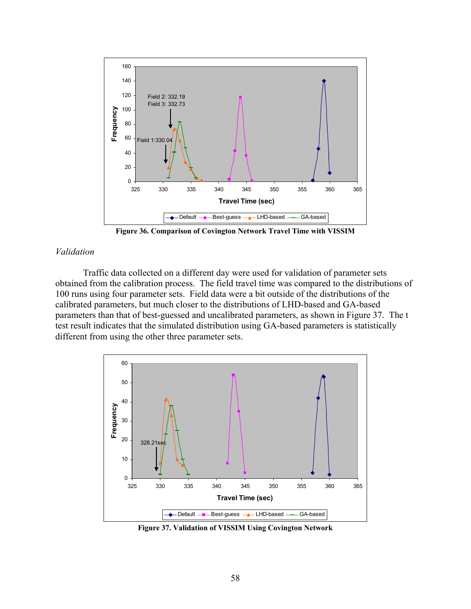

**Figure 36. Comparison of Covington Network Travel Time with VISSIM** 

## *Validation*

 Traffic data collected on a different day were used for validation of parameter sets obtained from the calibration process. The field travel time was compared to the distributions of 100 runs using four parameter sets. Field data were a bit outside of the distributions of the calibrated parameters, but much closer to the distributions of LHD-based and GA-based parameters than that of best-guessed and uncalibrated parameters, as shown in Figure 37. The t test result indicates that the simulated distribution using GA-based parameters is statistically different from using the other three parameter sets.



**Figure 37. Validation of VISSIM Using Covington Network**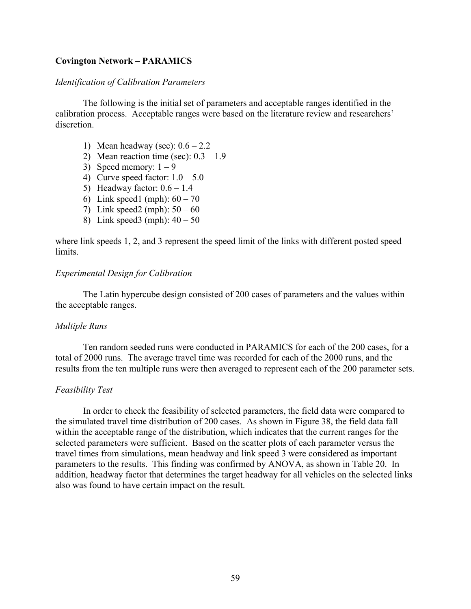# **Covington Network – PARAMICS**

# *Identification of Calibration Parameters*

The following is the initial set of parameters and acceptable ranges identified in the calibration process. Acceptable ranges were based on the literature review and researchers' discretion.

- 1) Mean headway (sec):  $0.6 2.2$
- 2) Mean reaction time (sec):  $0.3 1.9$
- 3) Speed memory:  $1 9$
- 4) Curve speed factor:  $1.0 5.0$
- 5) Headway factor:  $0.6 1.4$
- 6) Link speed1 (mph):  $60 70$
- 7) Link speed2 (mph):  $50 60$
- 8) Link speed3 (mph):  $40 50$

where link speeds 1, 2, and 3 represent the speed limit of the links with different posted speed limits.

# *Experimental Design for Calibration*

The Latin hypercube design consisted of 200 cases of parameters and the values within the acceptable ranges.

## *Multiple Runs*

Ten random seeded runs were conducted in PARAMICS for each of the 200 cases, for a total of 2000 runs. The average travel time was recorded for each of the 2000 runs, and the results from the ten multiple runs were then averaged to represent each of the 200 parameter sets.

## *Feasibility Test*

In order to check the feasibility of selected parameters, the field data were compared to the simulated travel time distribution of 200 cases. As shown in Figure 38, the field data fall within the acceptable range of the distribution, which indicates that the current ranges for the selected parameters were sufficient. Based on the scatter plots of each parameter versus the travel times from simulations, mean headway and link speed 3 were considered as important parameters to the results. This finding was confirmed by ANOVA, as shown in Table 20. In addition, headway factor that determines the target headway for all vehicles on the selected links also was found to have certain impact on the result.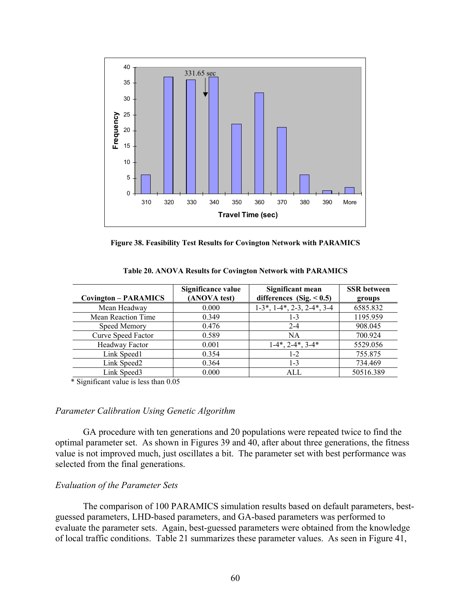

**Figure 38. Feasibility Test Results for Covington Network with PARAMICS** 

| <b>Covington - PARAMICS</b> | Significance value<br>(ANOVA test) | Significant mean<br>differences (Sig. $< 0.5$ ) | <b>SSR</b> between<br>groups |
|-----------------------------|------------------------------------|-------------------------------------------------|------------------------------|
| Mean Headway                | 0.000                              | $1-3$ *, $1-4$ *, $2-3$ , $2-4$ *, $3-4$        | 6585.832                     |
| Mean Reaction Time          | 0.349                              | $1 - 3$                                         | 1195.959                     |
| Speed Memory                | 0.476                              | $2 - 4$                                         | 908.045                      |
| Curve Speed Factor          | 0.589                              | <b>NA</b>                                       | 700.924                      |
| Headway Factor              | 0.001                              | $1-4^*$ , $2-4^*$ , $3-4^*$                     | 5529.056                     |
| Link Speed1                 | 0.354                              | $1-2$                                           | 755.875                      |
| Link Speed2                 | 0.364                              | $1 - 3$                                         | 734.469                      |
| Link Speed3                 | 0.000                              | ALL.                                            | 50516.389                    |

**Table 20. ANOVA Results for Covington Network with PARAMICS** 

\* Significant value is less than 0.05

## *Parameter Calibration Using Genetic Algorithm*

GA procedure with ten generations and 20 populations were repeated twice to find the optimal parameter set. As shown in Figures 39 and 40, after about three generations, the fitness value is not improved much, just oscillates a bit. The parameter set with best performance was selected from the final generations.

## *Evaluation of the Parameter Sets*

 The comparison of 100 PARAMICS simulation results based on default parameters, bestguessed parameters, LHD-based parameters, and GA-based parameters was performed to evaluate the parameter sets. Again, best-guessed parameters were obtained from the knowledge of local traffic conditions. Table 21 summarizes these parameter values. As seen in Figure 41,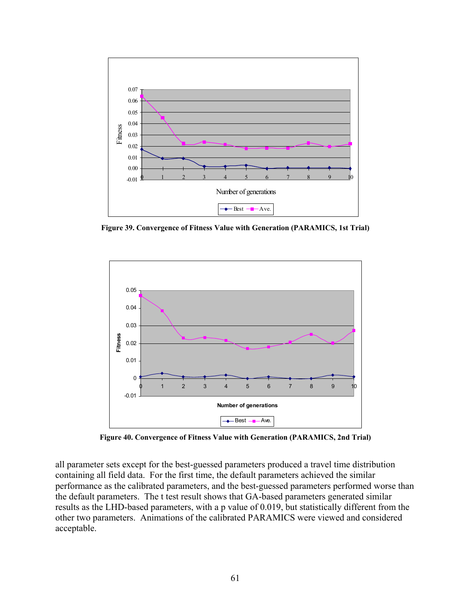

**Figure 39. Convergence of Fitness Value with Generation (PARAMICS, 1st Trial)** 



**Figure 40. Convergence of Fitness Value with Generation (PARAMICS, 2nd Trial)** 

all parameter sets except for the best-guessed parameters produced a travel time distribution containing all field data. For the first time, the default parameters achieved the similar performance as the calibrated parameters, and the best-guessed parameters performed worse than the default parameters. The t test result shows that GA-based parameters generated similar results as the LHD-based parameters, with a p value of 0.019, but statistically different from the other two parameters. Animations of the calibrated PARAMICS were viewed and considered acceptable.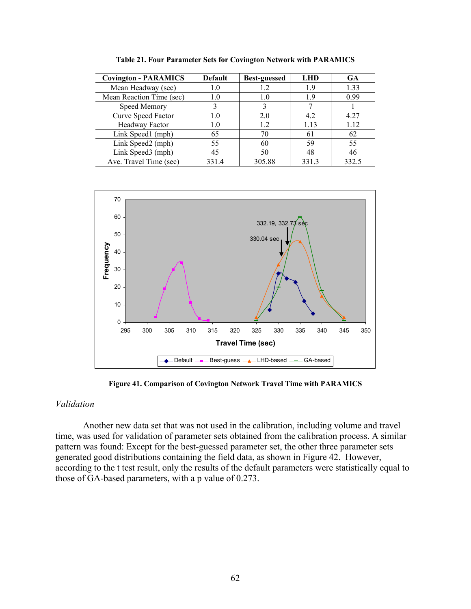| <b>Covington - PARAMICS</b> | <b>Default</b> | <b>Best-guessed</b> | <b>LHD</b> | <b>GA</b> |
|-----------------------------|----------------|---------------------|------------|-----------|
| Mean Headway (sec)          | 1.0            | 12                  | 1.9        | 1.33      |
| Mean Reaction Time (sec)    | 1.0            | 1.0                 | 19         | 0.99      |
| Speed Memory                |                |                     |            |           |
| Curve Speed Factor          | 1.0            | 2.0                 | 4.2        | 4.27      |
| Headway Factor              | 1.0            | 1.2                 | 1.13       | 1.12      |
| Link Speed1 (mph)           | 65             | 70                  | 61         | 62        |
| Link Speed2 (mph)           | 55             | 60                  | 59         | 55        |
| Link Speed3 (mph)           | 45             | 50                  | 48         | 46        |
| Ave. Travel Time (sec)      | 331.4          | 305.88              | 331.3      | 332.5     |

**Table 21. Four Parameter Sets for Covington Network with PARAMICS** 



**Figure 41. Comparison of Covington Network Travel Time with PARAMICS** 

## *Validation*

Another new data set that was not used in the calibration, including volume and travel time, was used for validation of parameter sets obtained from the calibration process. A similar pattern was found: Except for the best-guessed parameter set, the other three parameter sets generated good distributions containing the field data, as shown in Figure 42. However, according to the t test result, only the results of the default parameters were statistically equal to those of GA-based parameters, with a p value of 0.273.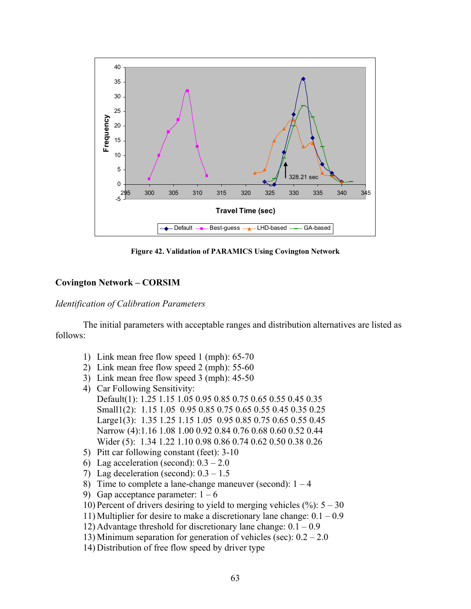

**Figure 42. Validation of PARAMICS Using Covington Network** 

# **Covington Network – CORSIM**

# *Identification of Calibration Parameters*

The initial parameters with acceptable ranges and distribution alternatives are listed as follows:

- 1) Link mean free flow speed 1 (mph): 65-70
- 2) Link mean free flow speed 2 (mph): 55-60
- 3) Link mean free flow speed 3 (mph): 45-50
- 4) Car Following Sensitivity: Default(1): 1.25 1.15 1.05 0.95 0.85 0.75 0.65 0.55 0.45 0.35 Small1(2): 1.15 1.05 0.95 0.85 0.75 0.65 0.55 0.45 0.35 0.25 Large1(3): 1.35 1.25 1.15 1.05 0.95 0.85 0.75 0.65 0.55 0.45 Narrow (4):1.16 1.08 1.00 0.92 0.84 0.76 0.68 0.60 0.52 0.44 Wider (5): 1.34 1.22 1.10 0.98 0.86 0.74 0.62 0.50 0.38 0.26
- 5) Pitt car following constant (feet): 3-10
- 6) Lag acceleration (second):  $0.3 2.0$
- 7) Lag deceleration (second):  $0.3 1.5$
- 8) Time to complete a lane-change maneuver (second):  $1 4$
- 9) Gap acceptance parameter:  $1 6$
- 10) Percent of drivers desiring to yield to merging vehicles  $(\%): 5 30$
- 11) Multiplier for desire to make a discretionary lane change:  $0.1 0.9$
- 12) Advantage threshold for discretionary lane change:  $0.1 0.9$
- 13) Minimum separation for generation of vehicles (sec):  $0.2 2.0$
- 14) Distribution of free flow speed by driver type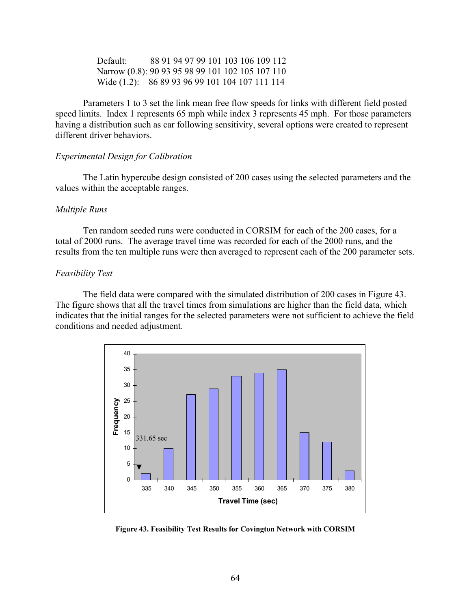Default: 88 91 94 97 99 101 103 106 109 112 Narrow (0.8): 90 93 95 98 99 101 102 105 107 110 Wide (1.2): 86 89 93 96 99 101 104 107 111 114

Parameters 1 to 3 set the link mean free flow speeds for links with different field posted speed limits. Index 1 represents 65 mph while index 3 represents 45 mph. For those parameters having a distribution such as car following sensitivity, several options were created to represent different driver behaviors.

## *Experimental Design for Calibration*

The Latin hypercube design consisted of 200 cases using the selected parameters and the values within the acceptable ranges.

#### *Multiple Runs*

Ten random seeded runs were conducted in CORSIM for each of the 200 cases, for a total of 2000 runs. The average travel time was recorded for each of the 2000 runs, and the results from the ten multiple runs were then averaged to represent each of the 200 parameter sets.

#### *Feasibility Test*

The field data were compared with the simulated distribution of 200 cases in Figure 43. The figure shows that all the travel times from simulations are higher than the field data, which indicates that the initial ranges for the selected parameters were not sufficient to achieve the field conditions and needed adjustment.



**Figure 43. Feasibility Test Results for Covington Network with CORSIM**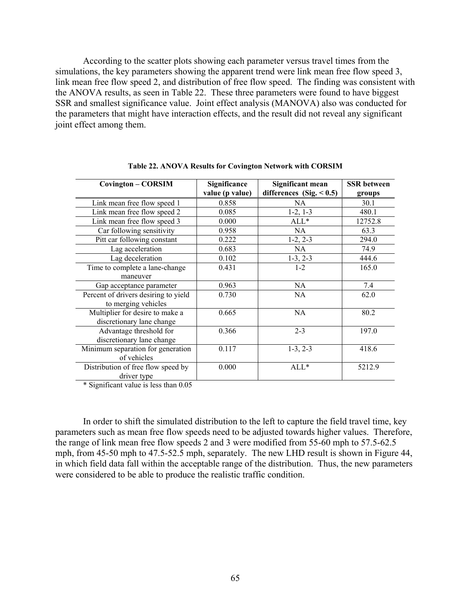According to the scatter plots showing each parameter versus travel times from the simulations, the key parameters showing the apparent trend were link mean free flow speed 3, link mean free flow speed 2, and distribution of free flow speed. The finding was consistent with the ANOVA results, as seen in Table 22. These three parameters were found to have biggest SSR and smallest significance value. Joint effect analysis (MANOVA) also was conducted for the parameters that might have interaction effects, and the result did not reveal any significant joint effect among them.

| <b>Covington – CORSIM</b>            | Significance<br>value (p value) | Significant mean<br>differences $(Sig. < 0.5)$ | <b>SSR</b> between<br>groups |
|--------------------------------------|---------------------------------|------------------------------------------------|------------------------------|
| Link mean free flow speed 1          | 0.858                           | NA.                                            | 30.1                         |
| Link mean free flow speed 2          | 0.085                           | $1-2, 1-3$                                     | 480.1                        |
| Link mean free flow speed 3          | 0.000                           | $ALL*$                                         | 12752.8                      |
| Car following sensitivity            | 0.958                           | <b>NA</b>                                      | 63.3                         |
| Pitt car following constant          | 0.222                           | $1-2, 2-3$                                     | 294.0                        |
| Lag acceleration                     | 0.683                           | NA.                                            | 74.9                         |
| Lag deceleration                     | 0.102                           | $1-3, 2-3$                                     | 444.6                        |
| Time to complete a lane-change       | 0.431                           | $1 - 2$                                        | 165.0                        |
| maneuver                             |                                 |                                                |                              |
| Gap acceptance parameter             | 0.963                           | NA                                             | 7.4                          |
| Percent of drivers desiring to yield | 0.730                           | NA.                                            | 62.0                         |
| to merging vehicles                  |                                 |                                                |                              |
| Multiplier for desire to make a      | 0.665                           | <b>NA</b>                                      | 80.2                         |
| discretionary lane change            |                                 |                                                |                              |
| Advantage threshold for              | 0.366                           | $2 - 3$                                        | 197.0                        |
| discretionary lane change            |                                 |                                                |                              |
| Minimum separation for generation    | 0.117                           | $1-3, 2-3$                                     | 418.6                        |
| of vehicles                          |                                 |                                                |                              |
| Distribution of free flow speed by   | 0.000                           | $ALL*$                                         | 5212.9                       |
| driver type                          |                                 |                                                |                              |

**Table 22. ANOVA Results for Covington Network with CORSIM** 

\* Significant value is less than 0.05

In order to shift the simulated distribution to the left to capture the field travel time, key parameters such as mean free flow speeds need to be adjusted towards higher values. Therefore, the range of link mean free flow speeds 2 and 3 were modified from 55-60 mph to 57.5-62.5 mph, from 45-50 mph to 47.5-52.5 mph, separately. The new LHD result is shown in Figure 44, in which field data fall within the acceptable range of the distribution. Thus, the new parameters were considered to be able to produce the realistic traffic condition.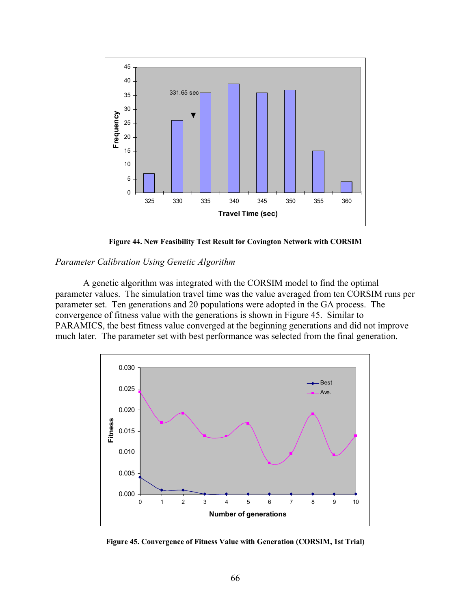

**Figure 44. New Feasibility Test Result for Covington Network with CORSIM** 

# *Parameter Calibration Using Genetic Algorithm*

A genetic algorithm was integrated with the CORSIM model to find the optimal parameter values. The simulation travel time was the value averaged from ten CORSIM runs per parameter set. Ten generations and 20 populations were adopted in the GA process. The convergence of fitness value with the generations is shown in Figure 45. Similar to PARAMICS, the best fitness value converged at the beginning generations and did not improve much later. The parameter set with best performance was selected from the final generation.



**Figure 45. Convergence of Fitness Value with Generation (CORSIM, 1st Trial)**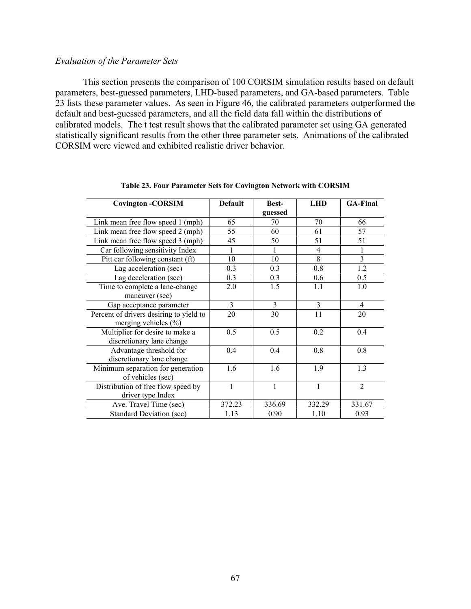## *Evaluation of the Parameter Sets*

This section presents the comparison of 100 CORSIM simulation results based on default parameters, best-guessed parameters, LHD-based parameters, and GA-based parameters. Table 23 lists these parameter values. As seen in Figure 46, the calibrated parameters outperformed the default and best-guessed parameters, and all the field data fall within the distributions of calibrated models. The t test result shows that the calibrated parameter set using GA generated statistically significant results from the other three parameter sets. Animations of the calibrated CORSIM were viewed and exhibited realistic driver behavior.

| <b>Covington -CORSIM</b>                | <b>Default</b> | <b>Best-</b> | <b>LHD</b>     | <b>GA-Final</b> |
|-----------------------------------------|----------------|--------------|----------------|-----------------|
|                                         |                | guessed      |                |                 |
| Link mean free flow speed 1 (mph)       | 65             | 70           | 70             | 66              |
| Link mean free flow speed 2 (mph)       | 55             | 60           | 61             | 57              |
| Link mean free flow speed 3 (mph)       | 45             | 50           | 51             | 51              |
| Car following sensitivity Index         | $\mathbf{1}$   |              | $\overline{4}$ |                 |
| Pitt car following constant (ft)        | 10             | 10           | 8              | 3               |
| Lag acceleration (sec)                  | 0.3            | 0.3          | 0.8            | 1.2             |
| Lag deceleration (sec)                  | 0.3            | 0.3          | 0.6            | 0.5             |
| Time to complete a lane-change          | 2.0            | 1.5          | 1.1            | 1.0             |
| maneuver (sec)                          |                |              |                |                 |
| Gap acceptance parameter                | 3              | 3            | 3              | $\overline{4}$  |
| Percent of drivers desiring to yield to | 20             | 30           | 11             | 20              |
| merging vehicles $(\% )$                |                |              |                |                 |
| Multiplier for desire to make a         | 0.5            | 0.5          | 0.2            | 0.4             |
| discretionary lane change               |                |              |                |                 |
| Advantage threshold for                 | 0.4            | 0.4          | 0.8            | 0.8             |
| discretionary lane change               |                |              |                |                 |
| Minimum separation for generation       | 1.6            | 1.6          | 1.9            | 1.3             |
| of vehicles (sec)                       |                |              |                |                 |
| Distribution of free flow speed by      | 1              | 1            | $\mathbf{1}$   | $\overline{2}$  |
| driver type Index                       |                |              |                |                 |
| Ave. Travel Time (sec)                  | 372.23         | 336.69       | 332.29         | 331.67          |
| <b>Standard Deviation (sec)</b>         | 1.13           | 0.90         | 1.10           | 0.93            |

**Table 23. Four Parameter Sets for Covington Network with CORSIM**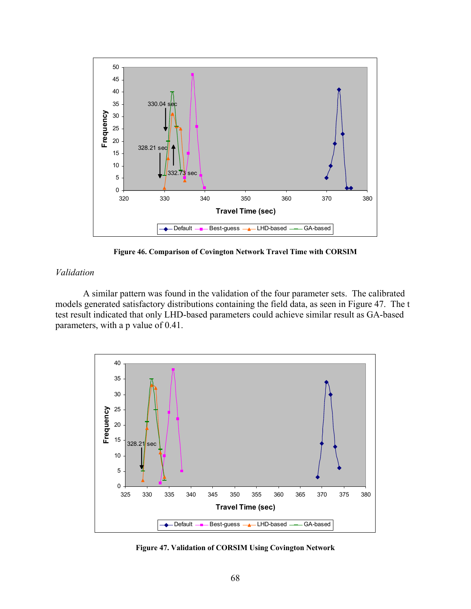

**Figure 46. Comparison of Covington Network Travel Time with CORSIM** 

# *Validation*

A similar pattern was found in the validation of the four parameter sets. The calibrated models generated satisfactory distributions containing the field data, as seen in Figure 47. The t test result indicated that only LHD-based parameters could achieve similar result as GA-based parameters, with a p value of 0.41.



**Figure 47. Validation of CORSIM Using Covington Network**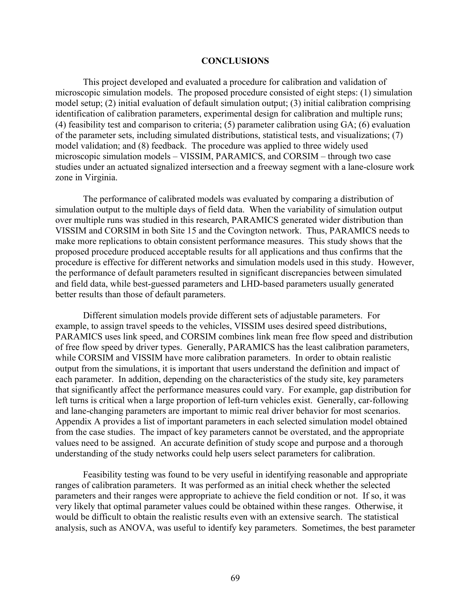## **CONCLUSIONS**

This project developed and evaluated a procedure for calibration and validation of microscopic simulation models. The proposed procedure consisted of eight steps: (1) simulation model setup; (2) initial evaluation of default simulation output; (3) initial calibration comprising identification of calibration parameters, experimental design for calibration and multiple runs; (4) feasibility test and comparison to criteria; (5) parameter calibration using GA; (6) evaluation of the parameter sets, including simulated distributions, statistical tests, and visualizations; (7) model validation; and (8) feedback. The procedure was applied to three widely used microscopic simulation models – VISSIM, PARAMICS, and CORSIM – through two case studies under an actuated signalized intersection and a freeway segment with a lane-closure work zone in Virginia.

The performance of calibrated models was evaluated by comparing a distribution of simulation output to the multiple days of field data. When the variability of simulation output over multiple runs was studied in this research, PARAMICS generated wider distribution than VISSIM and CORSIM in both Site 15 and the Covington network. Thus, PARAMICS needs to make more replications to obtain consistent performance measures. This study shows that the proposed procedure produced acceptable results for all applications and thus confirms that the procedure is effective for different networks and simulation models used in this study. However, the performance of default parameters resulted in significant discrepancies between simulated and field data, while best-guessed parameters and LHD-based parameters usually generated better results than those of default parameters.

Different simulation models provide different sets of adjustable parameters. For example, to assign travel speeds to the vehicles, VISSIM uses desired speed distributions, PARAMICS uses link speed, and CORSIM combines link mean free flow speed and distribution of free flow speed by driver types. Generally, PARAMICS has the least calibration parameters, while CORSIM and VISSIM have more calibration parameters. In order to obtain realistic output from the simulations, it is important that users understand the definition and impact of each parameter. In addition, depending on the characteristics of the study site, key parameters that significantly affect the performance measures could vary. For example, gap distribution for left turns is critical when a large proportion of left-turn vehicles exist. Generally, car-following and lane-changing parameters are important to mimic real driver behavior for most scenarios. Appendix A provides a list of important parameters in each selected simulation model obtained from the case studies. The impact of key parameters cannot be overstated, and the appropriate values need to be assigned. An accurate definition of study scope and purpose and a thorough understanding of the study networks could help users select parameters for calibration.

Feasibility testing was found to be very useful in identifying reasonable and appropriate ranges of calibration parameters. It was performed as an initial check whether the selected parameters and their ranges were appropriate to achieve the field condition or not. If so, it was very likely that optimal parameter values could be obtained within these ranges. Otherwise, it would be difficult to obtain the realistic results even with an extensive search. The statistical analysis, such as ANOVA, was useful to identify key parameters. Sometimes, the best parameter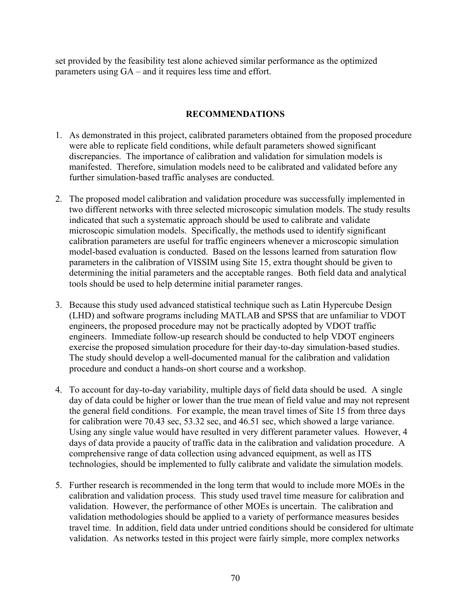set provided by the feasibility test alone achieved similar performance as the optimized parameters using  $GA$  – and it requires less time and effort.

## **RECOMMENDATIONS**

- 1. As demonstrated in this project, calibrated parameters obtained from the proposed procedure were able to replicate field conditions, while default parameters showed significant discrepancies. The importance of calibration and validation for simulation models is manifested. Therefore, simulation models need to be calibrated and validated before any further simulation-based traffic analyses are conducted.
- 2. The proposed model calibration and validation procedure was successfully implemented in two different networks with three selected microscopic simulation models. The study results indicated that such a systematic approach should be used to calibrate and validate microscopic simulation models. Specifically, the methods used to identify significant calibration parameters are useful for traffic engineers whenever a microscopic simulation model-based evaluation is conducted. Based on the lessons learned from saturation flow parameters in the calibration of VISSIM using Site 15, extra thought should be given to determining the initial parameters and the acceptable ranges. Both field data and analytical tools should be used to help determine initial parameter ranges.
- 3. Because this study used advanced statistical technique such as Latin Hypercube Design (LHD) and software programs including MATLAB and SPSS that are unfamiliar to VDOT engineers, the proposed procedure may not be practically adopted by VDOT traffic engineers. Immediate follow-up research should be conducted to help VDOT engineers exercise the proposed simulation procedure for their day-to-day simulation-based studies. The study should develop a well-documented manual for the calibration and validation procedure and conduct a hands-on short course and a workshop.
- 4. To account for day-to-day variability, multiple days of field data should be used. A single day of data could be higher or lower than the true mean of field value and may not represent the general field conditions. For example, the mean travel times of Site 15 from three days for calibration were 70.43 sec, 53.32 sec, and 46.51 sec, which showed a large variance. Using any single value would have resulted in very different parameter values. However, 4 days of data provide a paucity of traffic data in the calibration and validation procedure. A comprehensive range of data collection using advanced equipment, as well as ITS technologies, should be implemented to fully calibrate and validate the simulation models.
- 5. Further research is recommended in the long term that would to include more MOEs in the calibration and validation process. This study used travel time measure for calibration and validation. However, the performance of other MOEs is uncertain. The calibration and validation methodologies should be applied to a variety of performance measures besides travel time. In addition, field data under untried conditions should be considered for ultimate validation. As networks tested in this project were fairly simple, more complex networks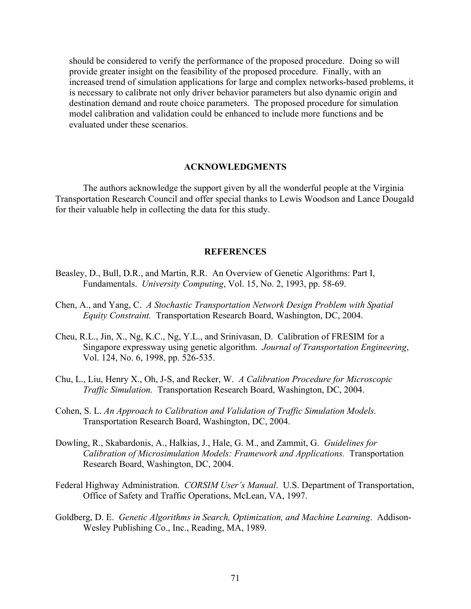should be considered to verify the performance of the proposed procedure. Doing so will provide greater insight on the feasibility of the proposed procedure. Finally, with an increased trend of simulation applications for large and complex networks-based problems, it is necessary to calibrate not only driver behavior parameters but also dynamic origin and destination demand and route choice parameters. The proposed procedure for simulation model calibration and validation could be enhanced to include more functions and be evaluated under these scenarios.

#### **ACKNOWLEDGMENTS**

The authors acknowledge the support given by all the wonderful people at the Virginia Transportation Research Council and offer special thanks to Lewis Woodson and Lance Dougald for their valuable help in collecting the data for this study.

#### **REFERENCES**

- Beasley, D., Bull, D.R., and Martin, R.R. An Overview of Genetic Algorithms: Part I, Fundamentals. *University Computing*, Vol. 15, No. 2, 1993, pp. 58-69.
- Chen, A., and Yang, C. *A Stochastic Transportation Network Design Problem with Spatial Equity Constraint.* Transportation Research Board, Washington, DC, 2004.
- Cheu, R.L., Jin, X., Ng, K.C., Ng, Y.L., and Srinivasan, D. Calibration of FRESIM for a Singapore expressway using genetic algorithm. *Journal of Transportation Engineering*, Vol. 124, No. 6, 1998, pp. 526-535.
- Chu, L., Liu, Henry X., Oh, J-S, and Recker, W. *A Calibration Procedure for Microscopic Traffic Simulation.* Transportation Research Board, Washington, DC, 2004.
- Cohen, S. L. *An Approach to Calibration and Validation of Traffic Simulation Models.* Transportation Research Board, Washington, DC, 2004.
- Dowling, R., Skabardonis, A., Halkias, J., Hale, G. M., and Zammit, G. *Guidelines for Calibration of Microsimulation Models: Framework and Applications.* Transportation Research Board, Washington, DC, 2004.
- Federal Highway Administration. *CORSIM User's Manual*. U.S. Department of Transportation, Office of Safety and Traffic Operations, McLean, VA, 1997.
- Goldberg, D. E. *Genetic Algorithms in Search, Optimization, and Machine Learning*. Addison-Wesley Publishing Co., Inc., Reading, MA, 1989.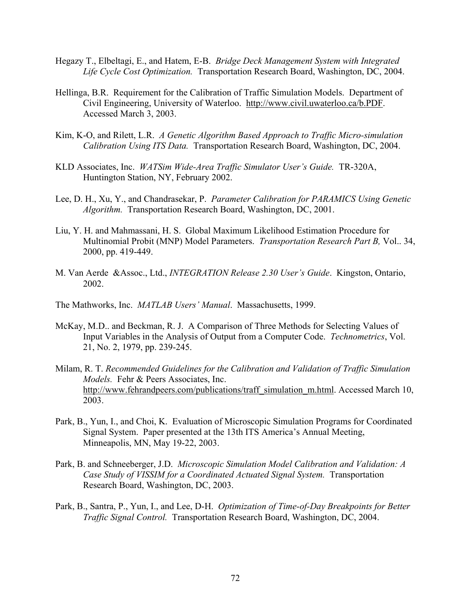- Hegazy T., Elbeltagi, E., and Hatem, E-B. *Bridge Deck Management System with Integrated Life Cycle Cost Optimization.* Transportation Research Board, Washington, DC, 2004.
- Hellinga, B.R. Requirement for the Calibration of Traffic Simulation Models. Department of Civil Engineering, University of Waterloo. http://www.civil.uwaterloo.ca/b.PDF. Accessed March 3, 2003.
- Kim, K-O, and Rilett, L.R. *A Genetic Algorithm Based Approach to Traffic Micro-simulation Calibration Using ITS Data.* Transportation Research Board, Washington, DC, 2004.
- KLD Associates, Inc. *WATSim Wide-Area Traffic Simulator Userís Guide.* TR-320A, Huntington Station, NY, February 2002.
- Lee, D. H., Xu, Y., and Chandrasekar, P. *Parameter Calibration for PARAMICS Using Genetic Algorithm.* Transportation Research Board, Washington, DC, 2001.
- Liu, Y. H. and Mahmassani, H. S. Global Maximum Likelihood Estimation Procedure for Multinomial Probit (MNP) Model Parameters. *Transportation Research Part B,* Vol.. 34, 2000, pp. 419-449.
- M. Van Aerde &Assoc., Ltd., *INTEGRATION Release 2.30 Userís Guide*. Kingston, Ontario, 2002.

The Mathworks, Inc. *MATLAB Users' Manual*. Massachusetts, 1999.

- McKay, M.D.. and Beckman, R. J. A Comparison of Three Methods for Selecting Values of Input Variables in the Analysis of Output from a Computer Code. *Technometrics*, Vol. 21, No. 2, 1979, pp. 239-245.
- Milam, R. T. *Recommended Guidelines for the Calibration and Validation of Traffic Simulation Models.* Fehr & Peers Associates, Inc. http://www.fehrandpeers.com/publications/traff\_simulation\_m.html. Accessed March 10, 2003.
- Park, B., Yun, I., and Choi, K. Evaluation of Microscopic Simulation Programs for Coordinated Signal System. Paper presented at the 13th ITS America's Annual Meeting, Minneapolis, MN, May 19-22, 2003.
- Park, B. and Schneeberger, J.D. *Microscopic Simulation Model Calibration and Validation: A Case Study of VISSIM for a Coordinated Actuated Signal System.* Transportation Research Board, Washington, DC, 2003.
- Park, B., Santra, P., Yun, I., and Lee, D-H. *Optimization of Time-of-Day Breakpoints for Better Traffic Signal Control.* Transportation Research Board, Washington, DC, 2004.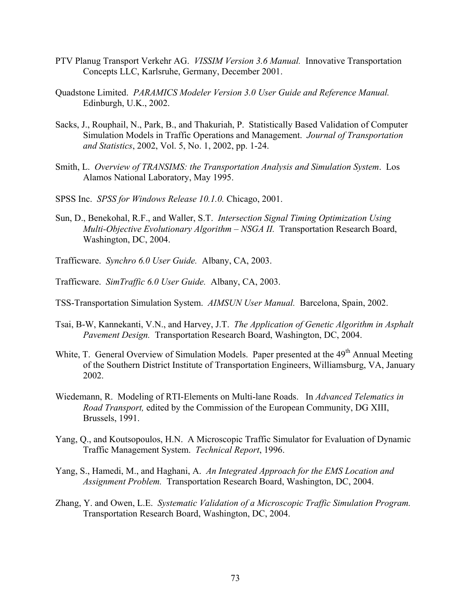- PTV Planug Transport Verkehr AG. *VISSIM Version 3.6 Manual.* Innovative Transportation Concepts LLC, Karlsruhe, Germany, December 2001.
- Quadstone Limited. *PARAMICS Modeler Version 3.0 User Guide and Reference Manual.*  Edinburgh, U.K., 2002.
- Sacks, J., Rouphail, N., Park, B., and Thakuriah, P. Statistically Based Validation of Computer Simulation Models in Traffic Operations and Management. *Journal of Transportation and Statistics*, 2002, Vol. 5, No. 1, 2002, pp. 1-24.
- Smith, L. *Overview of TRANSIMS: the Transportation Analysis and Simulation System*. Los Alamos National Laboratory, May 1995.
- SPSS Inc. *SPSS for Windows Release 10.1.0.* Chicago, 2001.
- Sun, D., Benekohal, R.F., and Waller, S.T. *Intersection Signal Timing Optimization Using Multi-Objective Evolutionary Algorithm – NSGA II.* Transportation Research Board, Washington, DC, 2004.
- Trafficware. *Synchro 6.0 User Guide.* Albany, CA, 2003.
- Trafficware. *SimTraffic 6.0 User Guide.* Albany, CA, 2003.
- TSS-Transportation Simulation System. *AIMSUN User Manual.* Barcelona, Spain, 2002.
- Tsai, B-W, Kannekanti, V.N., and Harvey, J.T. *The Application of Genetic Algorithm in Asphalt Pavement Design.* Transportation Research Board, Washington, DC, 2004.
- White, T. General Overview of Simulation Models. Paper presented at the 49<sup>th</sup> Annual Meeting of the Southern District Institute of Transportation Engineers, Williamsburg, VA, January 2002.
- Wiedemann, R. Modeling of RTI-Elements on Multi-lane Roads.In *Advanced Telematics in Road Transport,* edited by the Commission of the European Community, DG XIII, Brussels, 1991.
- Yang, Q., and Koutsopoulos, H.N. A Microscopic Traffic Simulator for Evaluation of Dynamic Traffic Management System. *Technical Report*, 1996.
- Yang, S., Hamedi, M., and Haghani, A. *An Integrated Approach for the EMS Location and Assignment Problem.* Transportation Research Board, Washington, DC, 2004.
- Zhang, Y. and Owen, L.E. *Systematic Validation of a Microscopic Traffic Simulation Program.* Transportation Research Board, Washington, DC, 2004.